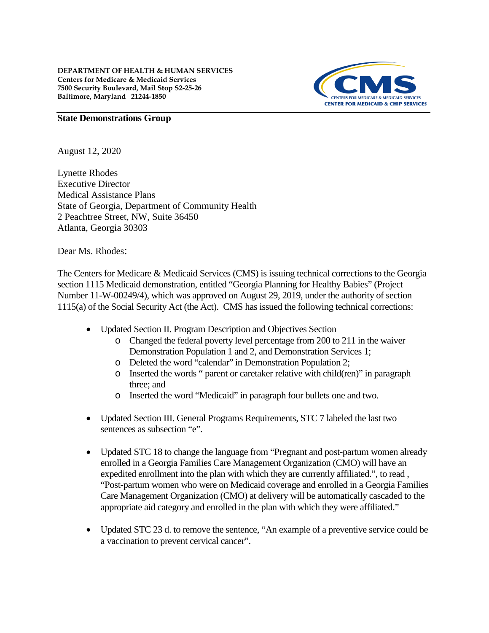

#### **State Demonstrations Group**

August 12, 2020

Lynette Rhodes Executive Director Medical Assistance Plans State of Georgia, Department of Community Health 2 Peachtree Street, NW, Suite 36450 Atlanta, Georgia 30303

Dear Ms. Rhodes:

The Centers for Medicare & Medicaid Services (CMS) is issuing technical corrections to the Georgia section 1115 Medicaid demonstration, entitled "Georgia Planning for Healthy Babies" (Project Number 11-W-00249/4), which was approved on August 29, 2019, under the authority of section 1115(a) of the Social Security Act (the Act). CMS has issued the following technical corrections:

- Updated Section II. Program Description and Objectives Section
	- o Changed the federal poverty level percentage from 200 to 211 in the waiver Demonstration Population 1 and 2, and Demonstration Services 1;
	- o Deleted the word "calendar" in Demonstration Population 2;
	- o Inserted the words " parent or caretaker relative with child(ren)" in paragraph three; and
	- o Inserted the word "Medicaid" in paragraph four bullets one and two.
- Updated Section III. General Programs Requirements, STC 7 labeled the last two sentences as subsection "e".
- Updated STC 18 to change the language from "Pregnant and post-partum women already enrolled in a Georgia Families Care Management Organization (CMO) will have an expedited enrollment into the plan with which they are currently affiliated.", to read , "Post-partum women who were on Medicaid coverage and enrolled in a Georgia Families Care Management Organization (CMO) at delivery will be automatically cascaded to the appropriate aid category and enrolled in the plan with which they were affiliated."
- Updated STC 23 d. to remove the sentence, "An example of a preventive service could be a vaccination to prevent cervical cancer".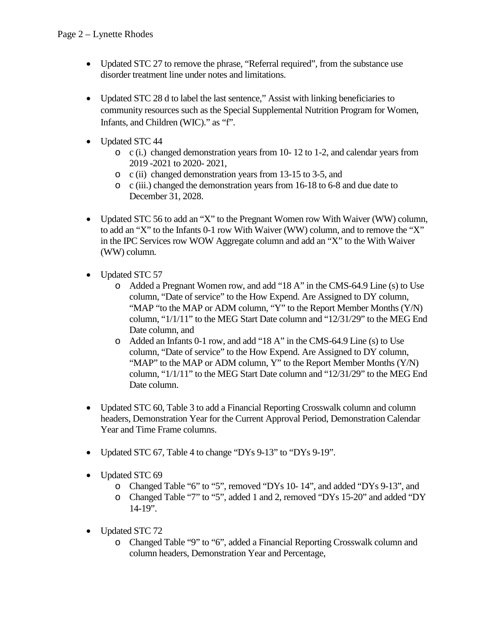- Updated STC 27 to remove the phrase, "Referral required", from the substance use disorder treatment line under notes and limitations.
- Updated STC 28 d to label the last sentence," Assist with linking beneficiaries to community resources such as the Special Supplemental Nutrition Program for Women, Infants, and Children (WIC)." as "f".
- Updated STC 44
	- o c (i.) changed demonstration years from 10- 12 to 1-2, and calendar years from 2019 -2021 to 2020- 2021,
	- o c (ii) changed demonstration years from 13-15 to 3-5, and
	- o c (iii.) changed the demonstration years from 16-18 to 6-8 and due date to December 31, 2028.
- Updated STC 56 to add an "X" to the Pregnant Women row With Waiver (WW) column, to add an "X" to the Infants 0-1 row With Waiver (WW) column, and to remove the "X" in the IPC Services row WOW Aggregate column and add an "X" to the With Waiver (WW) column.
- Updated STC 57
	- o Added a Pregnant Women row, and add "18 A" in the CMS-64.9 Line (s) to Use column, "Date of service" to the How Expend. Are Assigned to DY column, "MAP "to the MAP or ADM column, "Y" to the Report Member Months (Y/N) column, " $1/1/11$ " to the MEG Start Date column and " $12/31/29$ " to the MEG End Date column, and
	- o Added an Infants 0-1 row, and add "18 A" in the CMS-64.9 Line (s) to Use column, "Date of service" to the How Expend. Are Assigned to DY column, "MAP" to the MAP or ADM column, Y" to the Report Member Months (Y/N) column, "1/1/11" to the MEG Start Date column and "12/31/29" to the MEG End Date column.
- Updated STC 60, Table 3 to add a Financial Reporting Crosswalk column and column headers, Demonstration Year for the Current Approval Period, Demonstration Calendar Year and Time Frame columns.
- Updated STC 67, Table 4 to change "DYs 9-13" to "DYs 9-19".
- Updated STC 69
	- o Changed Table "6" to "5", removed "DYs 10- 14", and added "DYs 9-13", and
	- o Changed Table "7" to "5", added 1 and 2, removed "DYs 15-20" and added "DY 14-19".
- Updated STC 72
	- o Changed Table "9" to "6", added a Financial Reporting Crosswalk column and column headers, Demonstration Year and Percentage,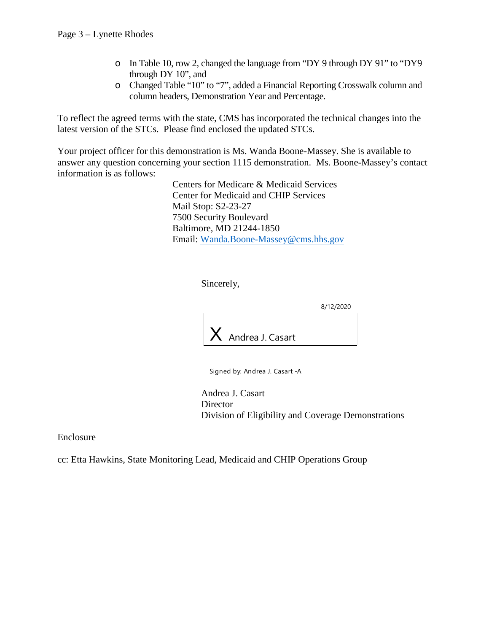- o In Table 10, row 2, changed the language from "DY 9 through DY 91" to "DY9 through DY 10", and
- o Changed Table "10" to "7", added a Financial Reporting Crosswalk column and column headers, Demonstration Year and Percentage.

To reflect the agreed terms with the state, CMS has incorporated the technical changes into the latest version of the STCs. Please find enclosed the updated STCs.

Your project officer for this demonstration is Ms. Wanda Boone-Massey. She is available to answer any question concerning your section 1115 demonstration. Ms. Boone-Massey's contact information is as follows:

> Centers for Medicare & Medicaid Services Center for Medicaid and CHIP Services Mail Stop: S2-23-27 7500 Security Boulevard Baltimore, MD 21244-1850 Email: [Wanda.Boone-Massey@cms.hhs.gov](mailto:Wanda.Boone-Massey@cms.hhs.gov)

> > Sincerely,

8/12/2020



Signed by: Andrea J. Casart -A

Andrea J. Casart **Director** Division of Eligibility and Coverage Demonstrations

Enclosure

cc: Etta Hawkins, State Monitoring Lead, Medicaid and CHIP Operations Group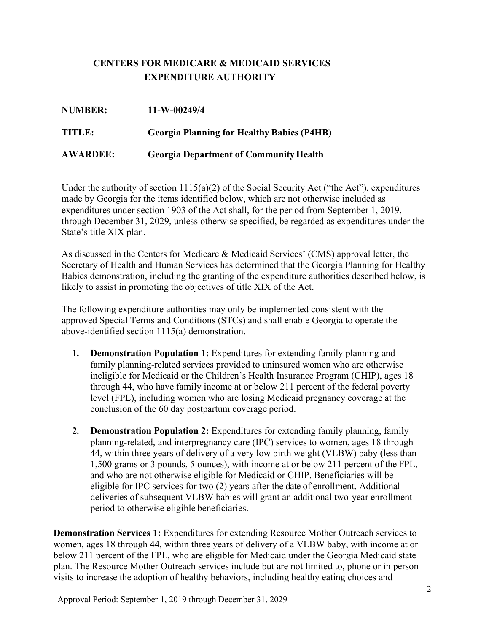# **CENTERS FOR MEDICARE & MEDICAID SERVICES EXPENDITURE AUTHORITY**

| <b>NUMBER:</b>  | $11-W-00249/4$                                    |
|-----------------|---------------------------------------------------|
| TITLE:          | <b>Georgia Planning for Healthy Babies (P4HB)</b> |
| <b>AWARDEE:</b> | <b>Georgia Department of Community Health</b>     |

Under the authority of section  $1115(a)(2)$  of the Social Security Act ("the Act"), expenditures made by Georgia for the items identified below, which are not otherwise included as expenditures under section 1903 of the Act shall, for the period from September 1, 2019, through December 31, 2029, unless otherwise specified, be regarded as expenditures under the State's title XIX plan.

As discussed in the Centers for Medicare & Medicaid Services' (CMS) approval letter, the Secretary of Health and Human Services has determined that the Georgia Planning for Healthy Babies demonstration, including the granting of the expenditure authorities described below, is likely to assist in promoting the objectives of title XIX of the Act.

The following expenditure authorities may only be implemented consistent with the approved Special Terms and Conditions (STCs) and shall enable Georgia to operate the above-identified section 1115(a) demonstration.

- **1. Demonstration Population 1:** Expenditures for extending family planning and family planning-related services provided to uninsured women who are otherwise ineligible for Medicaid or the Children's Health Insurance Program (CHIP), ages 18 through 44, who have family income at or below 211 percent of the federal poverty level (FPL), including women who are losing Medicaid pregnancy coverage at the conclusion of the 60 day postpartum coverage period.
- **2. Demonstration Population 2:** Expenditures for extending family planning, family planning-related, and interpregnancy care (IPC) services to women, ages 18 through 44, within three years of delivery of a very low birth weight (VLBW) baby (less than 1,500 grams or 3 pounds, 5 ounces), with income at or below 211 percent of the FPL, and who are not otherwise eligible for Medicaid or CHIP. Beneficiaries will be eligible for IPC services for two (2) years after the date of enrollment. Additional deliveries of subsequent VLBW babies will grant an additional two-year enrollment period to otherwise eligible beneficiaries.

**Demonstration Services 1:** Expenditures for extending Resource Mother Outreach services to women, ages 18 through 44, within three years of delivery of a VLBW baby, with income at or below 211 percent of the FPL, who are eligible for Medicaid under the Georgia Medicaid state plan. The Resource Mother Outreach services include but are not limited to, phone or in person visits to increase the adoption of healthy behaviors, including healthy eating choices and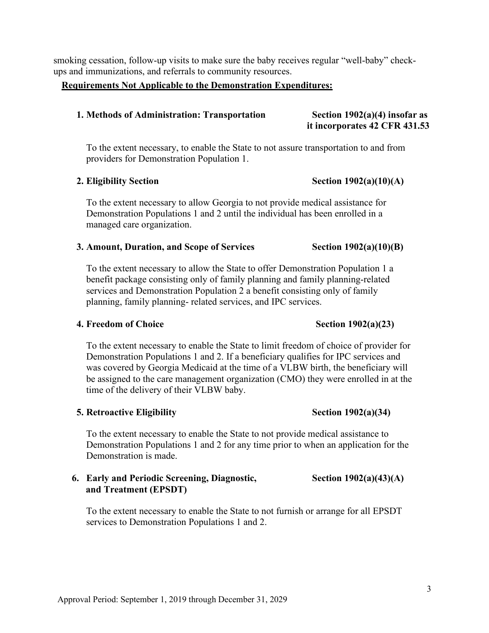smoking cessation, follow-up visits to make sure the baby receives regular "well-baby" checkups and immunizations, and referrals to community resources.

### **Requirements Not Applicable to the Demonstration Expenditures:**

### **1. Methods of Administration: Transportation Section 1902(a)(4) insofar as**

To the extent necessary, to enable the State to not assure transportation to and from providers for Demonstration Population 1.

#### **2. Eligibility Section Section 1902(a)(10)(A)**

To the extent necessary to allow Georgia to not provide medical assistance for Demonstration Populations 1 and 2 until the individual has been enrolled in a managed care organization.

### **3. Amount, Duration, and Scope of Services Section 1902(a)(10)(B)**

To the extent necessary to allow the State to offer Demonstration Population 1 a benefit package consisting only of family planning and family planning-related services and Demonstration Population 2 a benefit consisting only of family planning, family planning- related services, and IPC services.

#### **4. Freedom of Choice Section 1902(a)(23)**

To the extent necessary to enable the State to limit freedom of choice of provider for Demonstration Populations 1 and 2. If a beneficiary qualifies for IPC services and was covered by Georgia Medicaid at the time of a VLBW birth, the beneficiary will be assigned to the care management organization (CMO) they were enrolled in at the time of the delivery of their VLBW baby.

## **5. Retroactive Eligibility Section 1902(a)(34)**

To the extent necessary to enable the State to not provide medical assistance to Demonstration Populations 1 and 2 for any time prior to when an application for the Demonstration is made.

## **6. Early and Periodic Screening, Diagnostic, Section 1902(a)(43)(A) and Treatment (EPSDT)**

To the extent necessary to enable the State to not furnish or arrange for all EPSDT services to Demonstration Populations 1 and 2.

**it incorporates 42 CFR 431.53**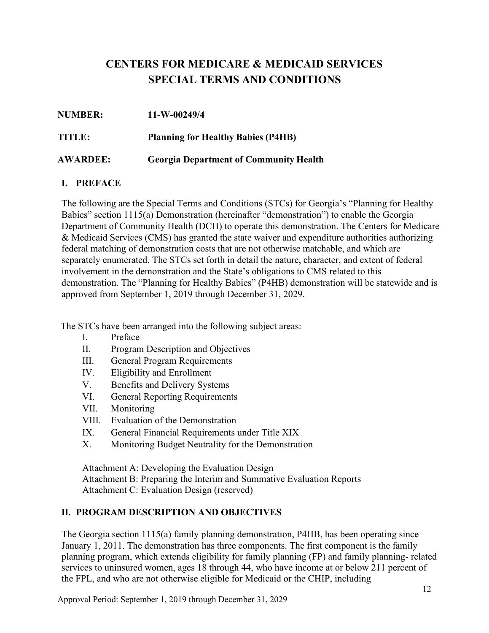# **CENTERS FOR MEDICARE & MEDICAID SERVICES SPECIAL TERMS AND CONDITIONS**

| <b>NUMBER:</b>  | 11-W-00249/4                                  |
|-----------------|-----------------------------------------------|
| <b>TITLE:</b>   | <b>Planning for Healthy Babies (P4HB)</b>     |
| <b>AWARDEE:</b> | <b>Georgia Department of Community Health</b> |

## **I. PREFACE**

The following are the Special Terms and Conditions (STCs) for Georgia's "Planning for Healthy Babies" section 1115(a) Demonstration (hereinafter "demonstration") to enable the Georgia Department of Community Health (DCH) to operate this demonstration. The Centers for Medicare & Medicaid Services (CMS) has granted the state waiver and expenditure authorities authorizing federal matching of demonstration costs that are not otherwise matchable, and which are separately enumerated. The STCs set forth in detail the nature, character, and extent of federal involvement in the demonstration and the State's obligations to CMS related to this demonstration. The "Planning for Healthy Babies" (P4HB) demonstration will be statewide and is approved from September 1, 2019 through December 31, 2029.

The STCs have been arranged into the following subject areas:

- I. Preface
- II. Program Description and Objectives
- III. General Program Requirements
- IV. Eligibility and Enrollment
- V. Benefits and Delivery Systems
- VI. General Reporting Requirements
- VII. Monitoring
- VIII. Evaluation of the Demonstration
- IX. General Financial Requirements under Title XIX
- X. Monitoring Budget Neutrality for the Demonstration

Attachment A: Developing the Evaluation Design Attachment B: Preparing the Interim and Summative Evaluation Reports Attachment C: Evaluation Design (reserved)

# **II. PROGRAM DESCRIPTION AND OBJECTIVES**

The Georgia section 1115(a) family planning demonstration, P4HB, has been operating since January 1, 2011. The demonstration has three components. The first component is the family planning program, which extends eligibility for family planning (FP) and family planning- related services to uninsured women, ages 18 through 44, who have income at or below 211 percent of the FPL, and who are not otherwise eligible for Medicaid or the CHIP, including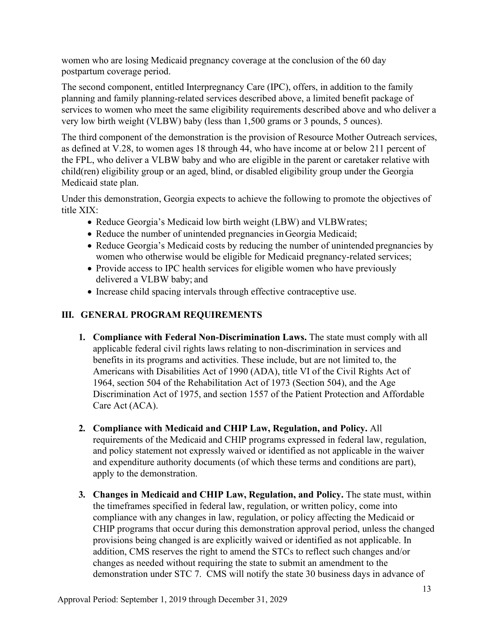women who are losing Medicaid pregnancy coverage at the conclusion of the 60 day postpartum coverage period.

The second component, entitled Interpregnancy Care (IPC), offers, in addition to the family planning and family planning-related services described above, a limited benefit package of services to women who meet the same eligibility requirements described above and who deliver a very low birth weight (VLBW) baby (less than 1,500 grams or 3 pounds, 5 ounces).

The third component of the demonstration is the provision of Resource Mother Outreach services, as defined at V.28, to women ages 18 through 44, who have income at or below 211 percent of the FPL, who deliver a VLBW baby and who are eligible in the parent or caretaker relative with child(ren) eligibility group or an aged, blind, or disabled eligibility group under the Georgia Medicaid state plan.

Under this demonstration, Georgia expects to achieve the following to promote the objectives of title XIX:

- Reduce Georgia's Medicaid low birth weight (LBW) and VLBWrates;
- Reduce the number of unintended pregnancies in Georgia Medicaid;
- Reduce Georgia's Medicaid costs by reducing the number of unintended pregnancies by women who otherwise would be eligible for Medicaid pregnancy-related services;
- Provide access to IPC health services for eligible women who have previously delivered a VLBW baby; and
- Increase child spacing intervals through effective contraceptive use.

## **III. GENERAL PROGRAM REQUIREMENTS**

- **1. Compliance with Federal Non-Discrimination Laws.** The state must comply with all applicable federal civil rights laws relating to non-discrimination in services and benefits in its programs and activities. These include, but are not limited to, the Americans with Disabilities Act of 1990 (ADA), title VI of the Civil Rights Act of 1964, section 504 of the Rehabilitation Act of 1973 (Section 504), and the Age Discrimination Act of 1975, and section 1557 of the Patient Protection and Affordable Care Act (ACA).
- **2. Compliance with Medicaid and CHIP Law, Regulation, and Policy.** All requirements of the Medicaid and CHIP programs expressed in federal law, regulation, and policy statement not expressly waived or identified as not applicable in the waiver and expenditure authority documents (of which these terms and conditions are part), apply to the demonstration.
- **3. Changes in Medicaid and CHIP Law, Regulation, and Policy.** The state must, within the timeframes specified in federal law, regulation, or written policy, come into compliance with any changes in law, regulation, or policy affecting the Medicaid or CHIP programs that occur during this demonstration approval period, unless the changed provisions being changed is are explicitly waived or identified as not applicable. In addition, CMS reserves the right to amend the STCs to reflect such changes and/or changes as needed without requiring the state to submit an amendment to the demonstration under STC 7. CMS will notify the state 30 business days in advance of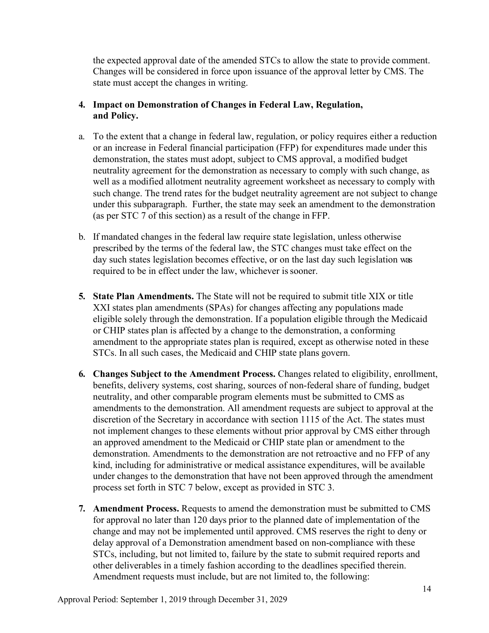the expected approval date of the amended STCs to allow the state to provide comment. Changes will be considered in force upon issuance of the approval letter by CMS. The state must accept the changes in writing.

## **4. Impact on Demonstration of Changes in Federal Law, Regulation, and Policy.**

- a. To the extent that a change in federal law, regulation, or policy requires either a reduction or an increase in Federal financial participation (FFP) for expenditures made under this demonstration, the states must adopt, subject to CMS approval, a modified budget neutrality agreement for the demonstration as necessary to comply with such change, as well as a modified allotment neutrality agreement worksheet as necessary to comply with such change. The trend rates for the budget neutrality agreement are not subject to change under this subparagraph. Further, the state may seek an amendment to the demonstration (as per STC 7 of this section) as a result of the change in FFP.
- b. If mandated changes in the federal law require state legislation, unless otherwise prescribed by the terms of the federal law, the STC changes must take effect on the day such states legislation becomes effective, or on the last day such legislation was required to be in effect under the law, whichever is sooner.
- **5. State Plan Amendments.** The State will not be required to submit title XIX or title XXI states plan amendments (SPAs) for changes affecting any populations made eligible solely through the demonstration. If a population eligible through the Medicaid or CHIP states plan is affected by a change to the demonstration, a conforming amendment to the appropriate states plan is required, except as otherwise noted in these STCs. In all such cases, the Medicaid and CHIP state plans govern.
- **6. Changes Subject to the Amendment Process.** Changes related to eligibility, enrollment, benefits, delivery systems, cost sharing, sources of non-federal share of funding, budget neutrality, and other comparable program elements must be submitted to CMS as amendments to the demonstration. All amendment requests are subject to approval at the discretion of the Secretary in accordance with section 1115 of the Act. The states must not implement changes to these elements without prior approval by CMS either through an approved amendment to the Medicaid or CHIP state plan or amendment to the demonstration. Amendments to the demonstration are not retroactive and no FFP of any kind, including for administrative or medical assistance expenditures, will be available under changes to the demonstration that have not been approved through the amendment process set forth in STC 7 below, except as provided in STC 3.
- **7. Amendment Process.** Requests to amend the demonstration must be submitted to CMS for approval no later than 120 days prior to the planned date of implementation of the change and may not be implemented until approved. CMS reserves the right to deny or delay approval of a Demonstration amendment based on non-compliance with these STCs, including, but not limited to, failure by the state to submit required reports and other deliverables in a timely fashion according to the deadlines specified therein. Amendment requests must include, but are not limited to, the following: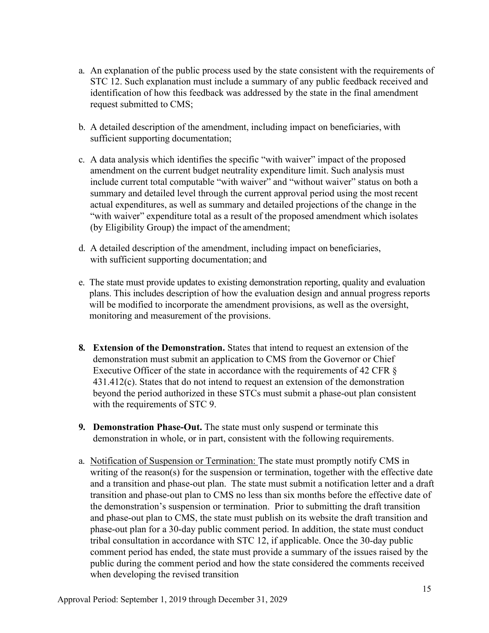- a. An explanation of the public process used by the state consistent with the requirements of STC 12. Such explanation must include a summary of any public feedback received and identification of how this feedback was addressed by the state in the final amendment request submitted to CMS;
- b. A detailed description of the amendment, including impact on beneficiaries, with sufficient supporting documentation;
- c. A data analysis which identifies the specific "with waiver" impact of the proposed amendment on the current budget neutrality expenditure limit. Such analysis must include current total computable "with waiver" and "without waiver" status on both a summary and detailed level through the current approval period using the most recent actual expenditures, as well as summary and detailed projections of the change in the "with waiver" expenditure total as a result of the proposed amendment which isolates (by Eligibility Group) the impact of the amendment;
- d. A detailed description of the amendment, including impact on beneficiaries, with sufficient supporting documentation; and
- e. The state must provide updates to existing demonstration reporting, quality and evaluation plans. This includes description of how the evaluation design and annual progress reports will be modified to incorporate the amendment provisions, as well as the oversight, monitoring and measurement of the provisions.
- **8. Extension of the Demonstration.** States that intend to request an extension of the demonstration must submit an application to CMS from the Governor or Chief Executive Officer of the state in accordance with the requirements of 42 CFR § 431.412(c). States that do not intend to request an extension of the demonstration beyond the period authorized in these STCs must submit a phase-out plan consistent with the requirements of STC 9.
- **9. Demonstration Phase-Out.** The state must only suspend or terminate this demonstration in whole, or in part, consistent with the following requirements.
- a. Notification of Suspension or Termination: The state must promptly notify CMS in writing of the reason(s) for the suspension or termination, together with the effective date and a transition and phase-out plan. The state must submit a notification letter and a draft transition and phase-out plan to CMS no less than six months before the effective date of the demonstration's suspension or termination. Prior to submitting the draft transition and phase-out plan to CMS, the state must publish on its website the draft transition and phase-out plan for a 30-day public comment period. In addition, the state must conduct tribal consultation in accordance with STC 12, if applicable. Once the 30-day public comment period has ended, the state must provide a summary of the issues raised by the public during the comment period and how the state considered the comments received when developing the revised transition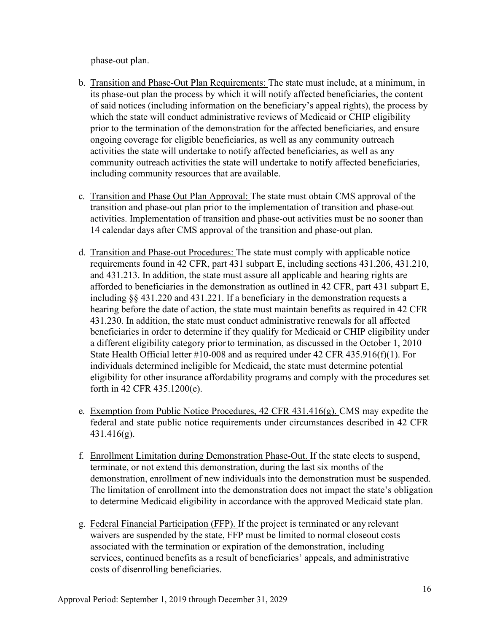phase-out plan.

- b. Transition and Phase-Out Plan Requirements: The state must include, at a minimum, in its phase-out plan the process by which it will notify affected beneficiaries, the content of said notices (including information on the beneficiary's appeal rights), the process by which the state will conduct administrative reviews of Medicaid or CHIP eligibility prior to the termination of the demonstration for the affected beneficiaries, and ensure ongoing coverage for eligible beneficiaries, as well as any community outreach activities the state will undertake to notify affected beneficiaries, as well as any community outreach activities the state will undertake to notify affected beneficiaries, including community resources that are available.
- c. Transition and Phase Out Plan Approval: The state must obtain CMS approval of the transition and phase-out plan prior to the implementation of transition and phase-out activities. Implementation of transition and phase-out activities must be no sooner than 14 calendar days after CMS approval of the transition and phase-out plan.
- d. Transition and Phase-out Procedures: The state must comply with applicable notice requirements found in 42 CFR, part 431 subpart E, including sections 431.206, 431.210, and 431.213. In addition, the state must assure all applicable and hearing rights are afforded to beneficiaries in the demonstration as outlined in 42 CFR, part 431 subpart E, including §§ 431.220 and 431.221. If a beneficiary in the demonstration requests a hearing before the date of action, the state must maintain benefits as required in 42 CFR 431.230. In addition, the state must conduct administrative renewals for all affected beneficiaries in order to determine if they qualify for Medicaid or CHIP eligibility under a different eligibility category priorto termination, as discussed in the October 1, 2010 State Health Official letter #10-008 and as required under 42 CFR 435.916(f)(1). For individuals determined ineligible for Medicaid, the state must determine potential eligibility for other insurance affordability programs and comply with the procedures set forth in 42 CFR 435.1200(e).
- e. Exemption from Public Notice Procedures, 42 CFR 431.416(g). CMS may expedite the federal and state public notice requirements under circumstances described in 42 CFR 431.416(g).
- f. Enrollment Limitation during Demonstration Phase-Out. If the state elects to suspend, terminate, or not extend this demonstration, during the last six months of the demonstration, enrollment of new individuals into the demonstration must be suspended. The limitation of enrollment into the demonstration does not impact the state's obligation to determine Medicaid eligibility in accordance with the approved Medicaid state plan.
- g. Federal Financial Participation (FFP). If the project is terminated or any relevant waivers are suspended by the state, FFP must be limited to normal closeout costs associated with the termination or expiration of the demonstration, including services, continued benefits as a result of beneficiaries' appeals, and administrative costs of disenrolling beneficiaries.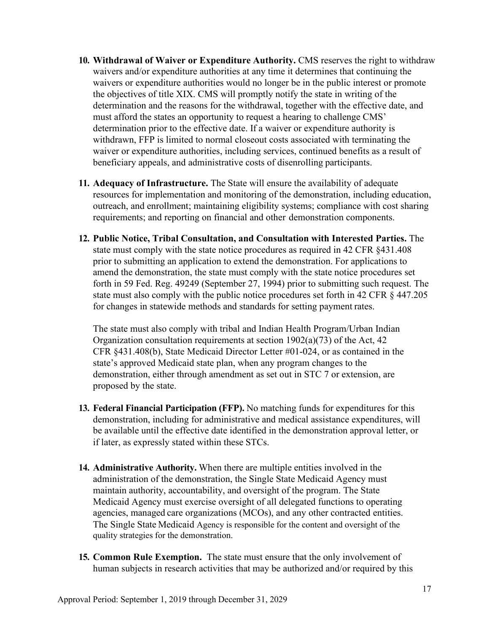- **10. Withdrawal of Waiver or Expenditure Authority.** CMS reserves the right to withdraw waivers and/or expenditure authorities at any time it determines that continuing the waivers or expenditure authorities would no longer be in the public interest or promote the objectives of title XIX. CMS will promptly notify the state in writing of the determination and the reasons for the withdrawal, together with the effective date, and must afford the states an opportunity to request a hearing to challenge CMS' determination prior to the effective date. If a waiver or expenditure authority is withdrawn, FFP is limited to normal closeout costs associated with terminating the waiver or expenditure authorities, including services, continued benefits as a result of beneficiary appeals, and administrative costs of disenrolling participants.
- **11. Adequacy of Infrastructure.** The State will ensure the availability of adequate resources for implementation and monitoring of the demonstration, including education, outreach, and enrollment; maintaining eligibility systems; compliance with cost sharing requirements; and reporting on financial and other demonstration components.
- **12. Public Notice, Tribal Consultation, and Consultation with Interested Parties.** The state must comply with the state notice procedures as required in 42 CFR §431.408 prior to submitting an application to extend the demonstration. For applications to amend the demonstration, the state must comply with the state notice procedures set forth in 59 Fed. Reg. 49249 (September 27, 1994) prior to submitting such request. The state must also comply with the public notice procedures set forth in 42 CFR § 447.205 for changes in statewide methods and standards for setting payment rates.

The state must also comply with tribal and Indian Health Program/Urban Indian Organization consultation requirements at section 1902(a)(73) of the Act, 42 CFR §431.408(b), State Medicaid Director Letter #01-024, or as contained in the state's approved Medicaid state plan, when any program changes to the demonstration, either through amendment as set out in STC 7 or extension, are proposed by the state.

- **13. Federal Financial Participation (FFP).** No matching funds for expenditures for this demonstration, including for administrative and medical assistance expenditures, will be available until the effective date identified in the demonstration approval letter, or if later, as expressly stated within these STCs.
- **14. Administrative Authority.** When there are multiple entities involved in the administration of the demonstration, the Single State Medicaid Agency must maintain authority, accountability, and oversight of the program. The State Medicaid Agency must exercise oversight of all delegated functions to operating agencies, managed care organizations (MCOs), and any other contracted entities. The Single State Medicaid Agency is responsible for the content and oversight of the quality strategies for the demonstration.
- **15. Common Rule Exemption.** The state must ensure that the only involvement of human subjects in research activities that may be authorized and/or required by this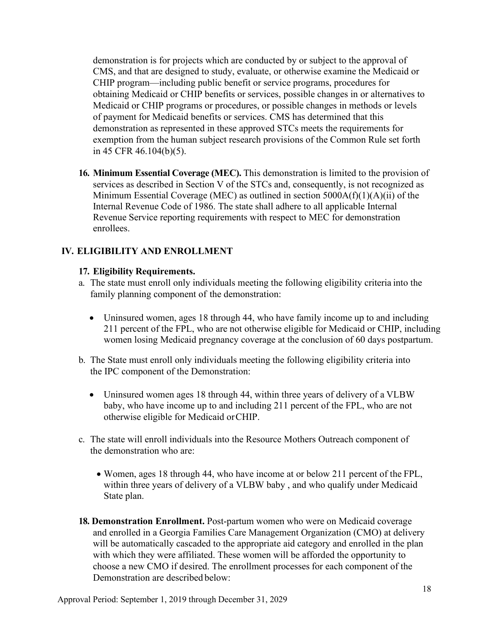demonstration is for projects which are conducted by or subject to the approval of CMS, and that are designed to study, evaluate, or otherwise examine the Medicaid or CHIP program—including public benefit or service programs, procedures for obtaining Medicaid or CHIP benefits or services, possible changes in or alternatives to Medicaid or CHIP programs or procedures, or possible changes in methods or levels of payment for Medicaid benefits or services. CMS has determined that this demonstration as represented in these approved STCs meets the requirements for exemption from the human subject research provisions of the Common Rule set forth in 45 CFR 46.104(b)(5).

**16. Minimum Essential Coverage (MEC).** This demonstration is limited to the provision of services as described in Section V of the STCs and, consequently, is not recognized as Minimum Essential Coverage (MEC) as outlined in section  $5000A(f)(1)(A)(ii)$  of the Internal Revenue Code of 1986. The state shall adhere to all applicable Internal Revenue Service reporting requirements with respect to MEC for demonstration enrollees.

## **IV. ELIGIBILITY AND ENROLLMENT**

## **17. Eligibility Requirements.**

- a. The state must enroll only individuals meeting the following eligibility criteria into the family planning component of the demonstration:
	- Uninsured women, ages 18 through 44, who have family income up to and including 211 percent of the FPL, who are not otherwise eligible for Medicaid or CHIP, including women losing Medicaid pregnancy coverage at the conclusion of 60 days postpartum.
- b. The State must enroll only individuals meeting the following eligibility criteria into the IPC component of the Demonstration:
	- Uninsured women ages 18 through 44, within three years of delivery of a VLBW baby, who have income up to and including 211 percent of the FPL, who are not otherwise eligible for Medicaid orCHIP.
- c. The state will enroll individuals into the Resource Mothers Outreach component of the demonstration who are:
	- Women, ages 18 through 44, who have income at or below 211 percent of the FPL, within three years of delivery of a VLBW baby , and who qualify under Medicaid State plan.
- **18. Demonstration Enrollment.** Post-partum women who were on Medicaid coverage and enrolled in a Georgia Families Care Management Organization (CMO) at delivery will be automatically cascaded to the appropriate aid category and enrolled in the plan with which they were affiliated. These women will be afforded the opportunity to choose a new CMO if desired. The enrollment processes for each component of the Demonstration are described below: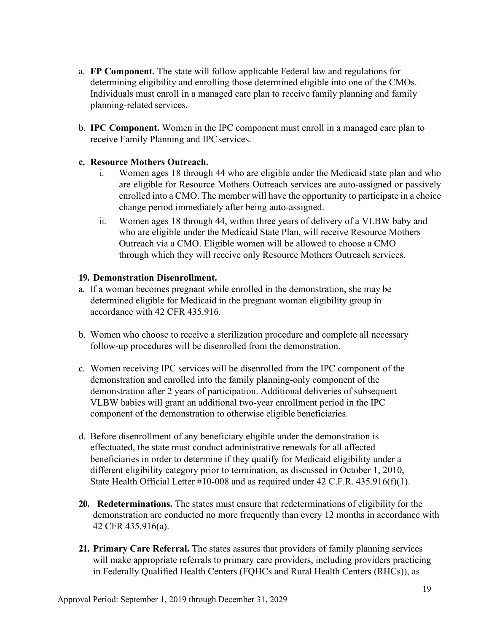- a. **FP Component.** The state will follow applicable Federal law and regulations for determining eligibility and enrolling those determined eligible into one of the CMOs. Individuals must enroll in a managed care plan to receive family planning and family planning-related services.
- b. **IPC Component.** Women in the IPC component must enroll in a managed care plan to receive Family Planning and IPC services.

## **c. Resource Mothers Outreach.**

- i. Women ages 18 through 44 who are eligible under the Medicaid state plan and who are eligible for Resource Mothers Outreach services are auto-assigned or passively enrolled into a CMO. The member will have the opportunity to participate in a choice change period immediately after being auto-assigned.
- ii. Women ages 18 through 44, within three years of delivery of a VLBW baby and who are eligible under the Medicaid State Plan, will receive Resource Mothers Outreach via a CMO. Eligible women will be allowed to choose a CMO through which they will receive only Resource Mothers Outreach services.

## **19. Demonstration Disenrollment.**

- a. If a woman becomes pregnant while enrolled in the demonstration, she may be determined eligible for Medicaid in the pregnant woman eligibility group in accordance with 42 CFR 435.916.
- b. Women who choose to receive a sterilization procedure and complete all necessary follow-up procedures will be disenrolled from the demonstration.
- c. Women receiving IPC services will be disenrolled from the IPC component of the demonstration and enrolled into the family planning-only component of the demonstration after 2 years of participation. Additional deliveries of subsequent VLBW babies will grant an additional two-year enrollment period in the IPC component of the demonstration to otherwise eligible beneficiaries.
- d. Before disenrollment of any beneficiary eligible under the demonstration is effectuated, the state must conduct administrative renewals for all affected beneficiaries in order to determine if they qualify for Medicaid eligibility under a different eligibility category prior to termination, as discussed in October 1, 2010, State Health Official Letter #10-008 and as required under 42 C.F.R. 435.916(f)(1).
- **20. Redeterminations.** The states must ensure that redeterminations of eligibility for the demonstration are conducted no more frequently than every 12 months in accordance with 42 CFR 435.916(a).
- **21. Primary Care Referral.** The states assures that providers of family planning services will make appropriate referrals to primary care providers, including providers practicing in Federally Qualified Health Centers (FQHCs and Rural Health Centers (RHCs)), as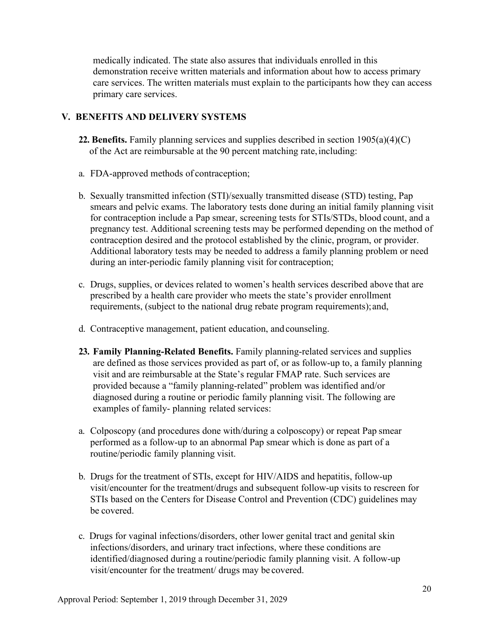medically indicated. The state also assures that individuals enrolled in this demonstration receive written materials and information about how to access primary care services. The written materials must explain to the participants how they can access primary care services.

## **V. BENEFITS AND DELIVERY SYSTEMS**

- **22. Benefits.** Family planning services and supplies described in section 1905(a)(4)(C) of the Act are reimbursable at the 90 percent matching rate,including:
- a. FDA-approved methods of contraception;
- b. Sexually transmitted infection (STI)/sexually transmitted disease (STD) testing, Pap smears and pelvic exams. The laboratory tests done during an initial family planning visit for contraception include a Pap smear, screening tests for STIs/STDs, blood count, and a pregnancy test. Additional screening tests may be performed depending on the method of contraception desired and the protocol established by the clinic, program, or provider. Additional laboratory tests may be needed to address a family planning problem or need during an inter-periodic family planning visit for contraception;
- c. Drugs, supplies, or devices related to women's health services described above that are prescribed by a health care provider who meets the state's provider enrollment requirements, (subject to the national drug rebate program requirements);and,
- d. Contraceptive management, patient education, and counseling.
- **23. Family Planning-Related Benefits.** Family planning-related services and supplies are defined as those services provided as part of, or as follow-up to, a family planning visit and are reimbursable at the State's regular FMAP rate. Such services are provided because a "family planning-related" problem was identified and/or diagnosed during a routine or periodic family planning visit. The following are examples of family- planning related services:
- a. Colposcopy (and procedures done with/during a colposcopy) or repeat Pap smear performed as a follow-up to an abnormal Pap smear which is done as part of a routine/periodic family planning visit.
- b. Drugs for the treatment of STIs, except for HIV/AIDS and hepatitis, follow-up visit/encounter for the treatment/drugs and subsequent follow-up visits to rescreen for STIs based on the Centers for Disease Control and Prevention (CDC) guidelines may be covered.
- c. Drugs for vaginal infections/disorders, other lower genital tract and genital skin infections/disorders, and urinary tract infections, where these conditions are identified/diagnosed during a routine/periodic family planning visit. A follow-up visit/encounter for the treatment/ drugs may be covered.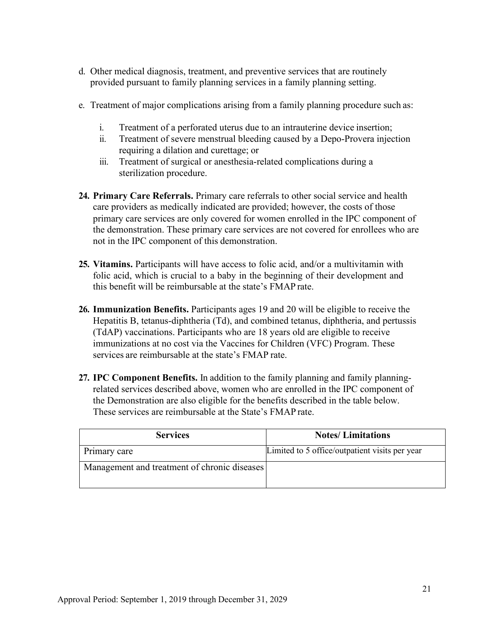- d. Other medical diagnosis, treatment, and preventive services that are routinely provided pursuant to family planning services in a family planning setting.
- e. Treatment of major complications arising from a family planning procedure such as:
	- i. Treatment of a perforated uterus due to an intrauterine device insertion;
	- ii. Treatment of severe menstrual bleeding caused by a Depo-Provera injection requiring a dilation and curettage; or
	- iii. Treatment of surgical or anesthesia-related complications during a sterilization procedure.
- **24. Primary Care Referrals.** Primary care referrals to other social service and health care providers as medically indicated are provided; however, the costs of those primary care services are only covered for women enrolled in the IPC component of the demonstration. These primary care services are not covered for enrollees who are not in the IPC component of this demonstration.
- **25. Vitamins.** Participants will have access to folic acid, and/or a multivitamin with folic acid, which is crucial to a baby in the beginning of their development and this benefit will be reimbursable at the state's FMAP rate.
- **26. Immunization Benefits.** Participants ages 19 and 20 will be eligible to receive the Hepatitis B, tetanus-diphtheria (Td), and combined tetanus, diphtheria, and pertussis (TdAP) vaccinations. Participants who are 18 years old are eligible to receive immunizations at no cost via the Vaccines for Children (VFC) Program. These services are reimbursable at the state's FMAP rate.
- **27. IPC Component Benefits.** In addition to the family planning and family planningrelated services described above, women who are enrolled in the IPC component of the Demonstration are also eligible for the benefits described in the table below. These services are reimbursable at the State's FMAP rate.

| <b>Services</b>                              | <b>Notes/Limitations</b>                       |
|----------------------------------------------|------------------------------------------------|
| Primary care                                 | Limited to 5 office/outpatient visits per year |
| Management and treatment of chronic diseases |                                                |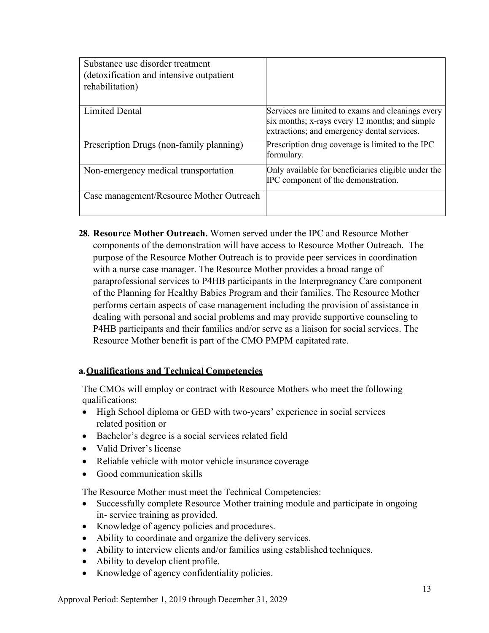| Substance use disorder treatment<br>(detoxification and intensive outpatient)<br>rehabilitation) |                                                                                                                                                    |
|--------------------------------------------------------------------------------------------------|----------------------------------------------------------------------------------------------------------------------------------------------------|
| <b>Limited Dental</b>                                                                            | Services are limited to exams and cleanings every<br>six months; x-rays every 12 months; and simple<br>extractions; and emergency dental services. |
| Prescription Drugs (non-family planning)                                                         | Prescription drug coverage is limited to the IPC<br>formulary.                                                                                     |
| Non-emergency medical transportation                                                             | Only available for beneficiaries eligible under the<br>IPC component of the demonstration.                                                         |
| Case management/Resource Mother Outreach                                                         |                                                                                                                                                    |

**28. Resource Mother Outreach.** Women served under the IPC and Resource Mother components of the demonstration will have access to Resource Mother Outreach. The purpose of the Resource Mother Outreach is to provide peer services in coordination with a nurse case manager. The Resource Mother provides a broad range of paraprofessional services to P4HB participants in the Interpregnancy Care component of the Planning for Healthy Babies Program and their families. The Resource Mother performs certain aspects of case management including the provision of assistance in dealing with personal and social problems and may provide supportive counseling to P4HB participants and their families and/or serve as a liaison for social services. The Resource Mother benefit is part of the CMO PMPM capitated rate.

## **a.Qualifications and Technical Competencies**

The CMOs will employ or contract with Resource Mothers who meet the following qualifications:

- High School diploma or GED with two-years' experience in social services related position or
- Bachelor's degree is a social services related field
- Valid Driver's license
- Reliable vehicle with motor vehicle insurance coverage
- Good communication skills

The Resource Mother must meet the Technical Competencies:

- Successfully complete Resource Mother training module and participate in ongoing in- service training as provided.
- Knowledge of agency policies and procedures.
- Ability to coordinate and organize the delivery services.
- Ability to interview clients and/or families using established techniques.
- Ability to develop client profile.
- Knowledge of agency confidentiality policies.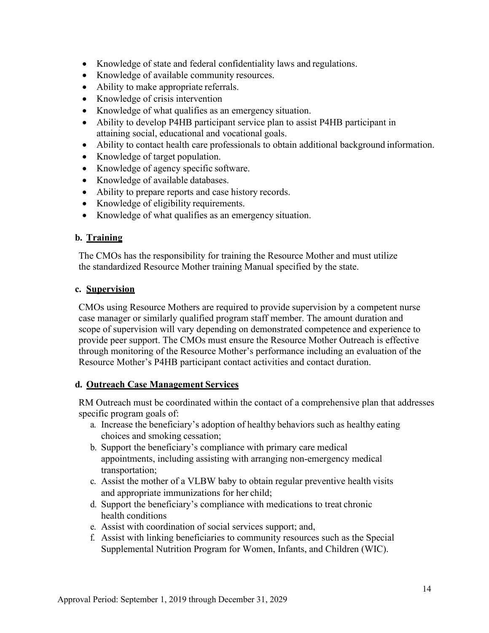- Knowledge of state and federal confidentiality laws and regulations.
- Knowledge of available community resources.
- Ability to make appropriate referrals.
- Knowledge of crisis intervention
- Knowledge of what qualifies as an emergency situation.
- Ability to develop P4HB participant service plan to assist P4HB participant in attaining social, educational and vocational goals.
- Ability to contact health care professionals to obtain additional background information.
- Knowledge of target population.
- Knowledge of agency specific software.
- Knowledge of available databases.
- Ability to prepare reports and case history records.
- Knowledge of eligibility requirements.
- Knowledge of what qualifies as an emergency situation.

## **b. Training**

The CMOs has the responsibility for training the Resource Mother and must utilize the standardized Resource Mother training Manual specified by the state.

## **c. Supervision**

CMOs using Resource Mothers are required to provide supervision by a competent nurse case manager or similarly qualified program staff member. The amount duration and scope of supervision will vary depending on demonstrated competence and experience to provide peer support. The CMOs must ensure the Resource Mother Outreach is effective through monitoring of the Resource Mother's performance including an evaluation of the Resource Mother's P4HB participant contact activities and contact duration.

## **d. Outreach Case Management Services**

RM Outreach must be coordinated within the contact of a comprehensive plan that addresses specific program goals of:

- a. Increase the beneficiary's adoption of healthy behaviors such as healthy eating choices and smoking cessation;
- b. Support the beneficiary's compliance with primary care medical appointments, including assisting with arranging non-emergency medical transportation;
- c. Assist the mother of a VLBW baby to obtain regular preventive health visits and appropriate immunizations for her child;
- d. Support the beneficiary's compliance with medications to treat chronic health conditions
- e. Assist with coordination of social services support; and,
- f. Assist with linking beneficiaries to community resources such as the Special Supplemental Nutrition Program for Women, Infants, and Children (WIC).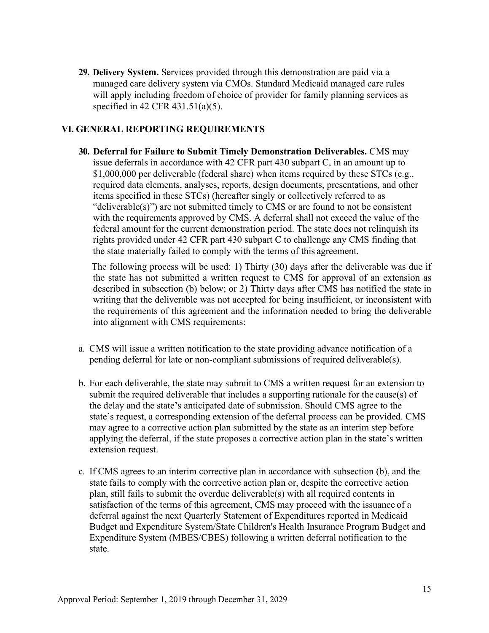**29. Delivery System.** Services provided through this demonstration are paid via a managed care delivery system via CMOs. Standard Medicaid managed care rules will apply including freedom of choice of provider for family planning services as specified in 42 CFR 431.51(a)(5).

## **VI. GENERAL REPORTING REQUIREMENTS**

**30. Deferral for Failure to Submit Timely Demonstration Deliverables.** CMS may issue deferrals in accordance with 42 CFR part 430 subpart C, in an amount up to \$1,000,000 per deliverable (federal share) when items required by these STCs (e.g., required data elements, analyses, reports, design documents, presentations, and other items specified in these STCs) (hereafter singly or collectively referred to as "deliverable(s)") are not submitted timely to CMS or are found to not be consistent with the requirements approved by CMS. A deferral shall not exceed the value of the federal amount for the current demonstration period. The state does not relinquish its rights provided under 42 CFR part 430 subpart C to challenge any CMS finding that the state materially failed to comply with the terms of this agreement.

The following process will be used: 1) Thirty (30) days after the deliverable was due if the state has not submitted a written request to CMS for approval of an extension as described in subsection (b) below; or 2) Thirty days after CMS has notified the state in writing that the deliverable was not accepted for being insufficient, or inconsistent with the requirements of this agreement and the information needed to bring the deliverable into alignment with CMS requirements:

- a. CMS will issue a written notification to the state providing advance notification of a pending deferral for late or non-compliant submissions of required deliverable(s).
- b. For each deliverable, the state may submit to CMS a written request for an extension to submit the required deliverable that includes a supporting rationale for the cause(s) of the delay and the state's anticipated date of submission. Should CMS agree to the state's request, a corresponding extension of the deferral process can be provided. CMS may agree to a corrective action plan submitted by the state as an interim step before applying the deferral, if the state proposes a corrective action plan in the state's written extension request.
- c. If CMS agrees to an interim corrective plan in accordance with subsection (b), and the state fails to comply with the corrective action plan or, despite the corrective action plan, still fails to submit the overdue deliverable(s) with all required contents in satisfaction of the terms of this agreement, CMS may proceed with the issuance of a deferral against the next Quarterly Statement of Expenditures reported in Medicaid Budget and Expenditure System/State Children's Health Insurance Program Budget and Expenditure System (MBES/CBES) following a written deferral notification to the state.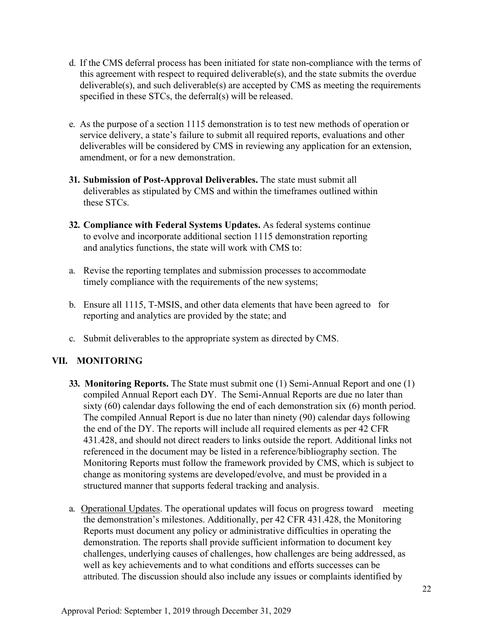- d. If the CMS deferral process has been initiated for state non-compliance with the terms of this agreement with respect to required deliverable(s), and the state submits the overdue deliverable(s), and such deliverable(s) are accepted by CMS as meeting the requirements specified in these STCs, the deferral(s) will be released.
- e. As the purpose of a section 1115 demonstration is to test new methods of operation or service delivery, a state's failure to submit all required reports, evaluations and other deliverables will be considered by CMS in reviewing any application for an extension, amendment, or for a new demonstration.
- **31. Submission of Post-Approval Deliverables.** The state must submit all deliverables as stipulated by CMS and within the timeframes outlined within these STCs.
- **32. Compliance with Federal Systems Updates.** As federal systems continue to evolve and incorporate additional section 1115 demonstration reporting and analytics functions, the state will work with CMS to:
- a. Revise the reporting templates and submission processes to accommodate timely compliance with the requirements of the new systems;
- b. Ensure all 1115, T-MSIS, and other data elements that have been agreed to for reporting and analytics are provided by the state; and
- c. Submit deliverables to the appropriate system as directed by CMS.

# **VII. MONITORING**

- **33. Monitoring Reports.** The State must submit one (1) Semi-Annual Report and one (1) compiled Annual Report each DY. The Semi-Annual Reports are due no later than sixty (60) calendar days following the end of each demonstration six (6) month period. The compiled Annual Report is due no later than ninety (90) calendar days following the end of the DY. The reports will include all required elements as per 42 CFR 431.428, and should not direct readers to links outside the report. Additional links not referenced in the document may be listed in a reference/bibliography section. The Monitoring Reports must follow the framework provided by CMS, which is subject to change as monitoring systems are developed/evolve, and must be provided in a structured manner that supports federal tracking and analysis.
- a. Operational Updates. The operational updates will focus on progress toward meeting the demonstration's milestones. Additionally, per 42 CFR 431.428, the Monitoring Reports must document any policy or administrative difficulties in operating the demonstration. The reports shall provide sufficient information to document key challenges, underlying causes of challenges, how challenges are being addressed, as well as key achievements and to what conditions and efforts successes can be attributed. The discussion should also include any issues or complaints identified by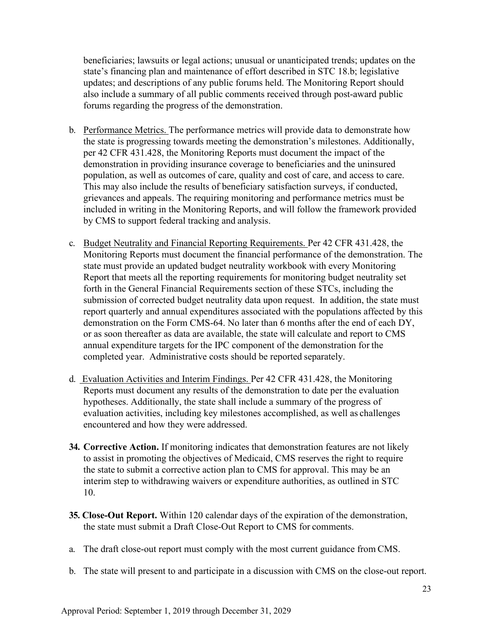beneficiaries; lawsuits or legal actions; unusual or unanticipated trends; updates on the state's financing plan and maintenance of effort described in STC 18.b; legislative updates; and descriptions of any public forums held. The Monitoring Report should also include a summary of all public comments received through post-award public forums regarding the progress of the demonstration.

- b. Performance Metrics. The performance metrics will provide data to demonstrate how the state is progressing towards meeting the demonstration's milestones. Additionally, per 42 CFR 431.428, the Monitoring Reports must document the impact of the demonstration in providing insurance coverage to beneficiaries and the uninsured population, as well as outcomes of care, quality and cost of care, and access to care. This may also include the results of beneficiary satisfaction surveys, if conducted, grievances and appeals. The requiring monitoring and performance metrics must be included in writing in the Monitoring Reports, and will follow the framework provided by CMS to support federal tracking and analysis.
- c. Budget Neutrality and Financial Reporting Requirements. Per 42 CFR 431.428, the Monitoring Reports must document the financial performance of the demonstration. The state must provide an updated budget neutrality workbook with every Monitoring Report that meets all the reporting requirements for monitoring budget neutrality set forth in the General Financial Requirements section of these STCs, including the submission of corrected budget neutrality data upon request. In addition, the state must report quarterly and annual expenditures associated with the populations affected by this demonstration on the Form CMS-64. No later than 6 months after the end of each DY, or as soon thereafter as data are available, the state will calculate and report to CMS annual expenditure targets for the IPC component of the demonstration for the completed year. Administrative costs should be reported separately.
- d. Evaluation Activities and Interim Findings. Per 42 CFR 431.428, the Monitoring Reports must document any results of the demonstration to date per the evaluation hypotheses. Additionally, the state shall include a summary of the progress of evaluation activities, including key milestones accomplished, as well as challenges encountered and how they were addressed.
- **34. Corrective Action.** If monitoring indicates that demonstration features are not likely to assist in promoting the objectives of Medicaid, CMS reserves the right to require the state to submit a corrective action plan to CMS for approval. This may be an interim step to withdrawing waivers or expenditure authorities, as outlined in STC 10.
- **35. Close-Out Report.** Within 120 calendar days of the expiration of the demonstration, the state must submit a Draft Close-Out Report to CMS for comments.
- a. The draft close-out report must comply with the most current guidance from CMS.
- b. The state will present to and participate in a discussion with CMS on the close-out report.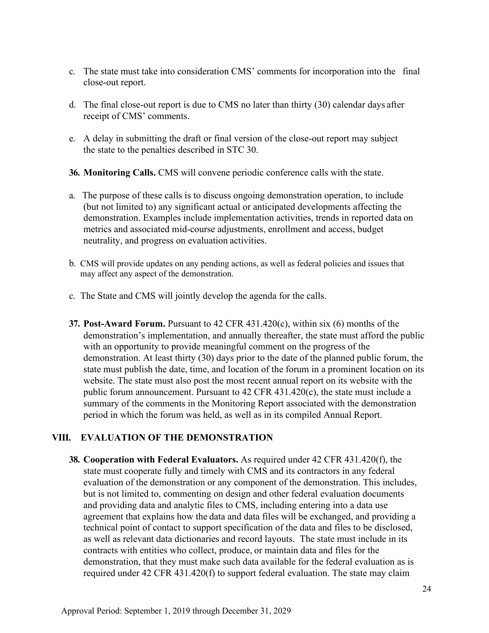- c. The state must take into consideration CMS' comments for incorporation into the final close-out report.
- d. The final close-out report is due to CMS no later than thirty (30) calendar days after receipt of CMS' comments.
- e. A delay in submitting the draft or final version of the close-out report may subject the state to the penalties described in STC 30.

**36. Monitoring Calls.** CMS will convene periodic conference calls with the state.

- a. The purpose of these calls is to discuss ongoing demonstration operation, to include (but not limited to) any significant actual or anticipated developments affecting the demonstration. Examples include implementation activities, trends in reported data on metrics and associated mid-course adjustments, enrollment and access, budget neutrality, and progress on evaluation activities.
- b. CMS will provide updates on any pending actions, as well as federal policies and issues that may affect any aspect of the demonstration.
- c. The State and CMS will jointly develop the agenda for the calls.
- **37. Post-Award Forum.** Pursuant to 42 CFR 431.420(c), within six (6) months of the demonstration's implementation, and annually thereafter, the state must afford the public with an opportunity to provide meaningful comment on the progress of the demonstration. At least thirty (30) days prior to the date of the planned public forum, the state must publish the date, time, and location of the forum in a prominent location on its website. The state must also post the most recent annual report on its website with the public forum announcement. Pursuant to 42 CFR 431.420(c), the state must include a summary of the comments in the Monitoring Report associated with the demonstration period in which the forum was held, as well as in its compiled Annual Report.

## **VIII. EVALUATION OF THE DEMONSTRATION**

**38. Cooperation with Federal Evaluators.** As required under 42 CFR 431.420(f), the state must cooperate fully and timely with CMS and its contractors in any federal evaluation of the demonstration or any component of the demonstration. This includes, but is not limited to, commenting on design and other federal evaluation documents and providing data and analytic files to CMS, including entering into a data use agreement that explains how the data and data files will be exchanged, and providing a technical point of contact to support specification of the data and files to be disclosed, as well as relevant data dictionaries and record layouts. The state must include in its contracts with entities who collect, produce, or maintain data and files for the demonstration, that they must make such data available for the federal evaluation as is required under 42 CFR 431.420(f) to support federal evaluation. The state may claim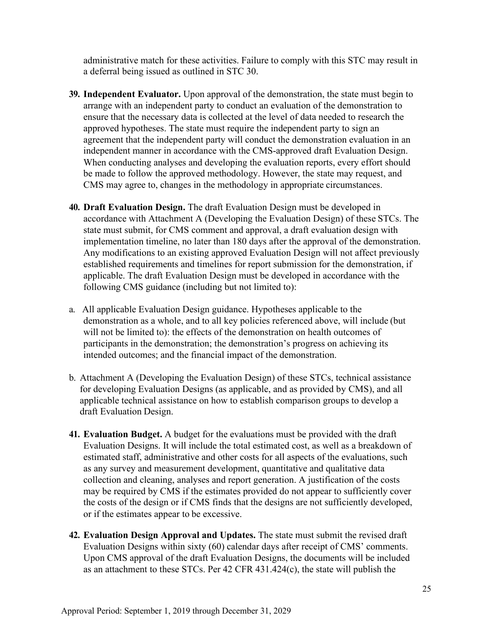administrative match for these activities. Failure to comply with this STC may result in a deferral being issued as outlined in STC 30.

- **39. Independent Evaluator.** Upon approval of the demonstration, the state must begin to arrange with an independent party to conduct an evaluation of the demonstration to ensure that the necessary data is collected at the level of data needed to research the approved hypotheses. The state must require the independent party to sign an agreement that the independent party will conduct the demonstration evaluation in an independent manner in accordance with the CMS-approved draft Evaluation Design. When conducting analyses and developing the evaluation reports, every effort should be made to follow the approved methodology. However, the state may request, and CMS may agree to, changes in the methodology in appropriate circumstances.
- **40. Draft Evaluation Design.** The draft Evaluation Design must be developed in accordance with Attachment A (Developing the Evaluation Design) of these STCs. The state must submit, for CMS comment and approval, a draft evaluation design with implementation timeline, no later than 180 days after the approval of the demonstration. Any modifications to an existing approved Evaluation Design will not affect previously established requirements and timelines for report submission for the demonstration, if applicable. The draft Evaluation Design must be developed in accordance with the following CMS guidance (including but not limited to):
- a. All applicable Evaluation Design guidance. Hypotheses applicable to the demonstration as a whole, and to all key policies referenced above, will include (but will not be limited to): the effects of the demonstration on health outcomes of participants in the demonstration; the demonstration's progress on achieving its intended outcomes; and the financial impact of the demonstration.
- b. Attachment A (Developing the Evaluation Design) of these STCs, technical assistance for developing Evaluation Designs (as applicable, and as provided by CMS), and all applicable technical assistance on how to establish comparison groups to develop a draft Evaluation Design.
- **41. Evaluation Budget.** A budget for the evaluations must be provided with the draft Evaluation Designs. It will include the total estimated cost, as well as a breakdown of estimated staff, administrative and other costs for all aspects of the evaluations, such as any survey and measurement development, quantitative and qualitative data collection and cleaning, analyses and report generation. A justification of the costs may be required by CMS if the estimates provided do not appear to sufficiently cover the costs of the design or if CMS finds that the designs are not sufficiently developed, or if the estimates appear to be excessive.
- **42. Evaluation Design Approval and Updates.** The state must submit the revised draft Evaluation Designs within sixty (60) calendar days after receipt of CMS' comments. Upon CMS approval of the draft Evaluation Designs, the documents will be included as an attachment to these STCs. Per 42 CFR 431.424(c), the state will publish the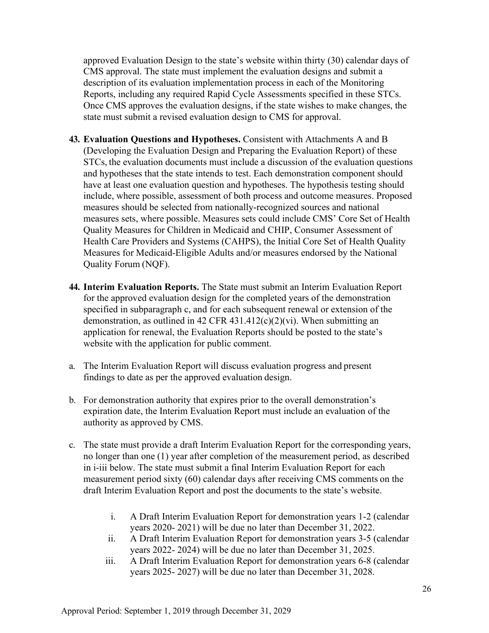approved Evaluation Design to the state's website within thirty (30) calendar days of CMS approval. The state must implement the evaluation designs and submit a description of its evaluation implementation process in each of the Monitoring Reports, including any required Rapid Cycle Assessments specified in these STCs. Once CMS approves the evaluation designs, if the state wishes to make changes, the state must submit a revised evaluation design to CMS for approval.

- **43. Evaluation Questions and Hypotheses.** Consistent with Attachments A and B (Developing the Evaluation Design and Preparing the Evaluation Report) of these STCs, the evaluation documents must include a discussion of the evaluation questions and hypotheses that the state intends to test. Each demonstration component should have at least one evaluation question and hypotheses. The hypothesis testing should include, where possible, assessment of both process and outcome measures. Proposed measures should be selected from nationally-recognized sources and national measures sets, where possible. Measures sets could include CMS' Core Set of Health Quality Measures for Children in Medicaid and CHIP, Consumer Assessment of Health Care Providers and Systems (CAHPS), the Initial Core Set of Health Quality Measures for Medicaid-Eligible Adults and/or measures endorsed by the National Quality Forum (NQF).
- **44. Interim Evaluation Reports.** The State must submit an Interim Evaluation Report for the approved evaluation design for the completed years of the demonstration specified in subparagraph c, and for each subsequent renewal or extension of the demonstration, as outlined in 42 CFR 431.412(c)(2)(vi). When submitting an application for renewal, the Evaluation Reports should be posted to the state's website with the application for public comment.
- a. The Interim Evaluation Report will discuss evaluation progress and present findings to date as per the approved evaluation design.
- b. For demonstration authority that expires prior to the overall demonstration's expiration date, the Interim Evaluation Report must include an evaluation of the authority as approved by CMS.
- c. The state must provide a draft Interim Evaluation Report for the corresponding years, no longer than one (1) year after completion of the measurement period, as described in i-iii below. The state must submit a final Interim Evaluation Report for each measurement period sixty (60) calendar days after receiving CMS comments on the draft Interim Evaluation Report and post the documents to the state's website.
	- i. A Draft Interim Evaluation Report for demonstration years 1-2 (calendar years 2020- 2021) will be due no later than December 31, 2022.
	- ii. A Draft Interim Evaluation Report for demonstration years 3-5 (calendar years 2022- 2024) will be due no later than December 31, 2025.
	- iii. A Draft Interim Evaluation Report for demonstration years 6-8 (calendar years 2025- 2027) will be due no later than December 31, 2028.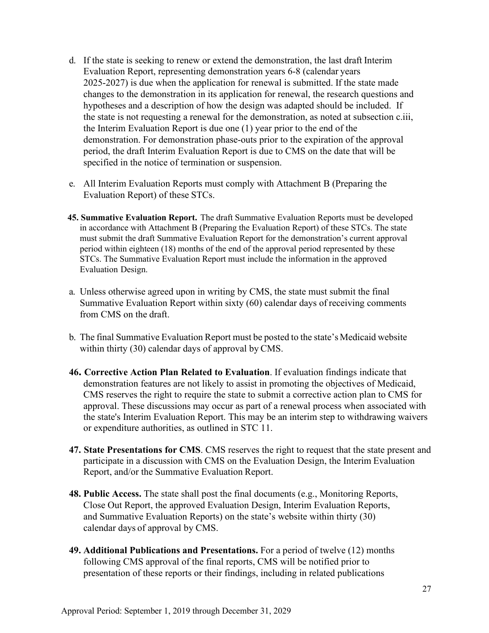- d. If the state is seeking to renew or extend the demonstration, the last draft Interim Evaluation Report, representing demonstration years 6-8 (calendar years 2025-2027) is due when the application for renewal is submitted. If the state made changes to the demonstration in its application for renewal, the research questions and hypotheses and a description of how the design was adapted should be included. If the state is not requesting a renewal for the demonstration, as noted at subsection c.iii, the Interim Evaluation Report is due one (1) year prior to the end of the demonstration. For demonstration phase-outs prior to the expiration of the approval period, the draft Interim Evaluation Report is due to CMS on the date that will be specified in the notice of termination or suspension.
- e. All Interim Evaluation Reports must comply with Attachment B (Preparing the Evaluation Report) of these STCs.
- **45. Summative Evaluation Report.** The draft Summative Evaluation Reports must be developed in accordance with Attachment B (Preparing the Evaluation Report) of these STCs. The state must submit the draft Summative Evaluation Report for the demonstration's current approval period within eighteen (18) months of the end of the approval period represented by these STCs. The Summative Evaluation Report must include the information in the approved Evaluation Design.
- a. Unless otherwise agreed upon in writing by CMS, the state must submit the final Summative Evaluation Report within sixty (60) calendar days of receiving comments from CMS on the draft.
- b. The final Summative Evaluation Report must be posted to the state's Medicaid website within thirty (30) calendar days of approval by CMS.
- **46. Corrective Action Plan Related to Evaluation**. If evaluation findings indicate that demonstration features are not likely to assist in promoting the objectives of Medicaid, CMS reserves the right to require the state to submit a corrective action plan to CMS for approval. These discussions may occur as part of a renewal process when associated with the state's Interim Evaluation Report. This may be an interim step to withdrawing waivers or expenditure authorities, as outlined in STC 11.
- **47. State Presentations for CMS**. CMS reserves the right to request that the state present and participate in a discussion with CMS on the Evaluation Design, the Interim Evaluation Report, and/or the Summative Evaluation Report.
- **48. Public Access.** The state shall post the final documents (e.g., Monitoring Reports, Close Out Report, the approved Evaluation Design, Interim Evaluation Reports, and Summative Evaluation Reports) on the state's website within thirty (30) calendar days of approval by CMS.
- **49. Additional Publications and Presentations.** For a period of twelve (12) months following CMS approval of the final reports, CMS will be notified prior to presentation of these reports or their findings, including in related publications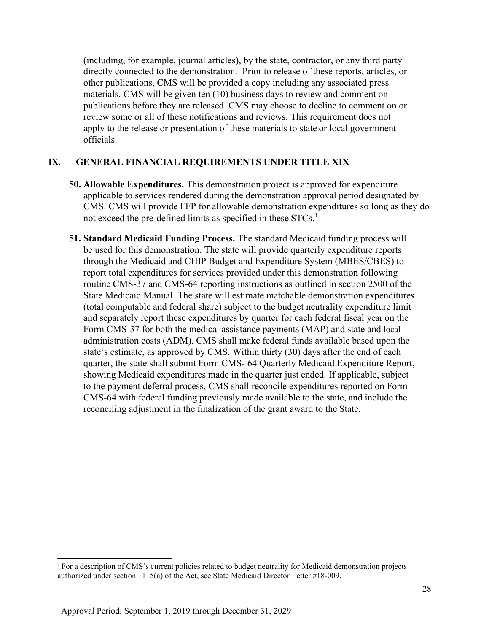(including, for example, journal articles), by the state, contractor, or any third party directly connected to the demonstration. Prior to release of these reports, articles, or other publications, CMS will be provided a copy including any associated press materials. CMS will be given ten (10) business days to review and comment on publications before they are released. CMS may choose to decline to comment on or review some or all of these notifications and reviews. This requirement does not apply to the release or presentation of these materials to state or local government officials.

## **IX. GENERAL FINANCIAL REQUIREMENTS UNDER TITLE XIX**

- **50. Allowable Expenditures.** This demonstration project is approved for expenditure applicable to services rendered during the demonstration approval period designated by CMS. CMS will provide FFP for allowable demonstration expenditures so long as they do not exceed the pre-defined limits as specified in these  $STCs$ <sup>1</sup>
- **51. Standard Medicaid Funding Process.** The standard Medicaid funding process will be used for this demonstration. The state will provide quarterly expenditure reports through the Medicaid and CHIP Budget and Expenditure System (MBES/CBES) to report total expenditures for services provided under this demonstration following routine CMS-37 and CMS-64 reporting instructions as outlined in section 2500 of the State Medicaid Manual. The state will estimate matchable demonstration expenditures (total computable and federal share) subject to the budget neutrality expenditure limit and separately report these expenditures by quarter for each federal fiscal year on the Form CMS-37 for both the medical assistance payments (MAP) and state and local administration costs (ADM). CMS shall make federal funds available based upon the state's estimate, as approved by CMS. Within thirty (30) days after the end of each quarter, the state shall submit Form CMS- 64 Quarterly Medicaid Expenditure Report, showing Medicaid expenditures made in the quarter just ended. If applicable, subject to the payment deferral process, CMS shall reconcile expenditures reported on Form CMS-64 with federal funding previously made available to the state, and include the reconciling adjustment in the finalization of the grant award to the State.

<sup>1</sup> For a description of CMS's current policies related to budget neutrality for Medicaid demonstration projects authorized under section 1115(a) of the Act, see State Medicaid Director Letter #18-009.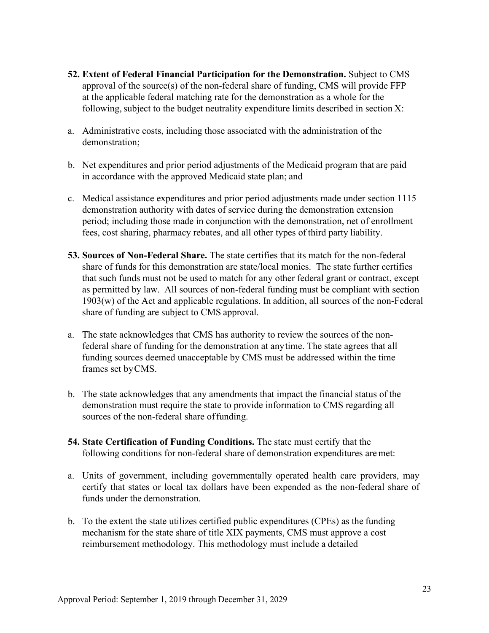- **52. Extent of Federal Financial Participation for the Demonstration.** Subject to CMS approval of the source(s) of the non-federal share of funding, CMS will provide FFP at the applicable federal matching rate for the demonstration as a whole for the following, subject to the budget neutrality expenditure limits described in section  $X$ :
- a. Administrative costs, including those associated with the administration of the demonstration;
- b. Net expenditures and prior period adjustments of the Medicaid program that are paid in accordance with the approved Medicaid state plan; and
- c. Medical assistance expenditures and prior period adjustments made under section 1115 demonstration authority with dates of service during the demonstration extension period; including those made in conjunction with the demonstration, net of enrollment fees, cost sharing, pharmacy rebates, and all other types of third party liability.
- **53. Sources of Non-Federal Share.** The state certifies that its match for the non-federal share of funds for this demonstration are state/local monies. The state further certifies that such funds must not be used to match for any other federal grant or contract, except as permitted by law. All sources of non-federal funding must be compliant with section 1903(w) of the Act and applicable regulations. In addition, all sources of the non-Federal share of funding are subject to CMS approval.
- a. The state acknowledges that CMS has authority to review the sources of the nonfederal share of funding for the demonstration at anytime. The state agrees that all funding sources deemed unacceptable by CMS must be addressed within the time frames set byCMS.
- b. The state acknowledges that any amendments that impact the financial status of the demonstration must require the state to provide information to CMS regarding all sources of the non-federal share of funding.
- **54. State Certification of Funding Conditions.** The state must certify that the following conditions for non-federal share of demonstration expenditures aremet:
- a. Units of government, including governmentally operated health care providers, may certify that states or local tax dollars have been expended as the non-federal share of funds under the demonstration.
- b. To the extent the state utilizes certified public expenditures (CPEs) as the funding mechanism for the state share of title XIX payments, CMS must approve a cost reimbursement methodology. This methodology must include a detailed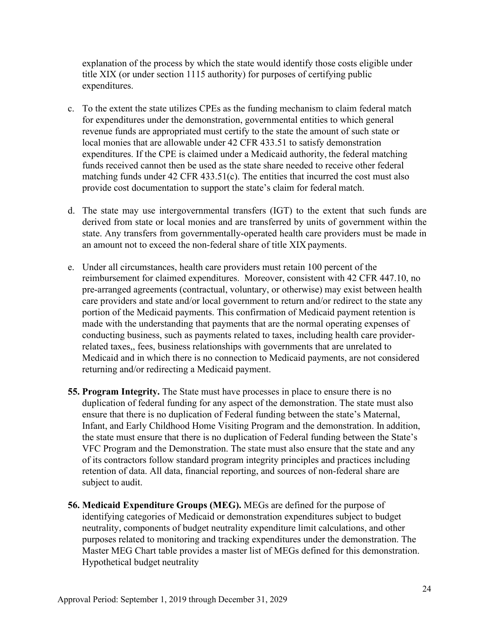explanation of the process by which the state would identify those costs eligible under title XIX (or under section 1115 authority) for purposes of certifying public expenditures.

- c. To the extent the state utilizes CPEs as the funding mechanism to claim federal match for expenditures under the demonstration, governmental entities to which general revenue funds are appropriated must certify to the state the amount of such state or local monies that are allowable under 42 CFR 433.51 to satisfy demonstration expenditures. If the CPE is claimed under a Medicaid authority, the federal matching funds received cannot then be used as the state share needed to receive other federal matching funds under 42 CFR 433.51(c). The entities that incurred the cost must also provide cost documentation to support the state's claim for federal match.
- d. The state may use intergovernmental transfers (IGT) to the extent that such funds are derived from state or local monies and are transferred by units of government within the state. Any transfers from governmentally-operated health care providers must be made in an amount not to exceed the non-federal share of title XIX payments.
- e. Under all circumstances, health care providers must retain 100 percent of the reimbursement for claimed expenditures. Moreover, consistent with 42 CFR 447.10, no pre-arranged agreements (contractual, voluntary, or otherwise) may exist between health care providers and state and/or local government to return and/or redirect to the state any portion of the Medicaid payments. This confirmation of Medicaid payment retention is made with the understanding that payments that are the normal operating expenses of conducting business, such as payments related to taxes, including health care providerrelated taxes,, fees, business relationships with governments that are unrelated to Medicaid and in which there is no connection to Medicaid payments, are not considered returning and/or redirecting a Medicaid payment.
- **55. Program Integrity.** The State must have processes in place to ensure there is no duplication of federal funding for any aspect of the demonstration. The state must also ensure that there is no duplication of Federal funding between the state's Maternal, Infant, and Early Childhood Home Visiting Program and the demonstration. In addition, the state must ensure that there is no duplication of Federal funding between the State's VFC Program and the Demonstration. The state must also ensure that the state and any of its contractors follow standard program integrity principles and practices including retention of data. All data, financial reporting, and sources of non-federal share are subject to audit.
- **56. Medicaid Expenditure Groups (MEG).** MEGs are defined for the purpose of identifying categories of Medicaid or demonstration expenditures subject to budget neutrality, components of budget neutrality expenditure limit calculations, and other purposes related to monitoring and tracking expenditures under the demonstration. The Master MEG Chart table provides a master list of MEGs defined for this demonstration. Hypothetical budget neutrality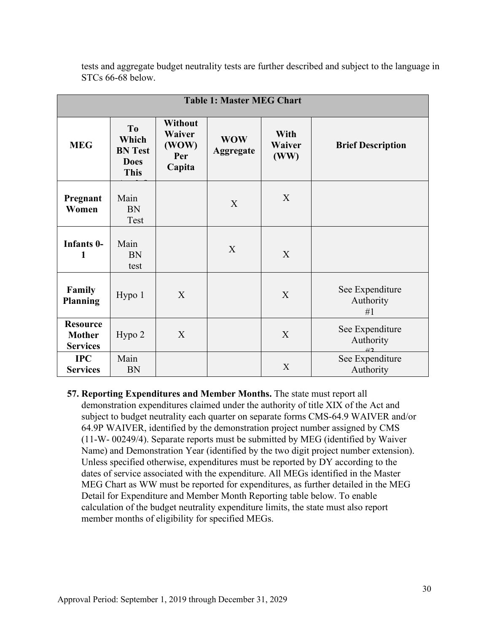| <b>Table 1: Master MEG Chart</b>                    |                                                                         |                                             |                                |                        |                                    |  |  |  |  |  |  |
|-----------------------------------------------------|-------------------------------------------------------------------------|---------------------------------------------|--------------------------------|------------------------|------------------------------------|--|--|--|--|--|--|
| <b>MEG</b>                                          | T <sub>0</sub><br>Which<br><b>BN</b> Test<br><b>Does</b><br><b>This</b> | Without<br>Waiver<br>(WOW)<br>Per<br>Capita | <b>WOW</b><br><b>Aggregate</b> | With<br>Waiver<br>(WW) | <b>Brief Description</b>           |  |  |  |  |  |  |
| Pregnant<br>Women                                   | Main<br><b>BN</b><br>Test                                               |                                             | X                              | X                      |                                    |  |  |  |  |  |  |
| Infants 0-<br>1                                     | Main<br><b>BN</b><br>test                                               |                                             | X                              | X                      |                                    |  |  |  |  |  |  |
| Family<br><b>Planning</b>                           | Hypo 1                                                                  | X                                           |                                | X                      | See Expenditure<br>Authority<br>#1 |  |  |  |  |  |  |
| <b>Resource</b><br><b>Mother</b><br><b>Services</b> | Hypo 2                                                                  | X                                           |                                | X                      | See Expenditure<br>Authority<br>42 |  |  |  |  |  |  |
| <b>IPC</b><br><b>Services</b>                       | Main<br><b>BN</b>                                                       |                                             |                                | X                      | See Expenditure<br>Authority       |  |  |  |  |  |  |

tests and aggregate budget neutrality tests are further described and subject to the language in STCs 66-68 below.

**57. Reporting Expenditures and Member Months.** The state must report all demonstration expenditures claimed under the authority of title XIX of the Act and subject to budget neutrality each quarter on separate forms CMS-64.9 WAIVER and/or 64.9P WAIVER, identified by the demonstration project number assigned by CMS (11-W- 00249/4). Separate reports must be submitted by MEG (identified by Waiver Name) and Demonstration Year (identified by the two digit project number extension). Unless specified otherwise, expenditures must be reported by DY according to the dates of service associated with the expenditure. All MEGs identified in the Master MEG Chart as WW must be reported for expenditures, as further detailed in the MEG Detail for Expenditure and Member Month Reporting table below. To enable calculation of the budget neutrality expenditure limits, the state must also report member months of eligibility for specified MEGs.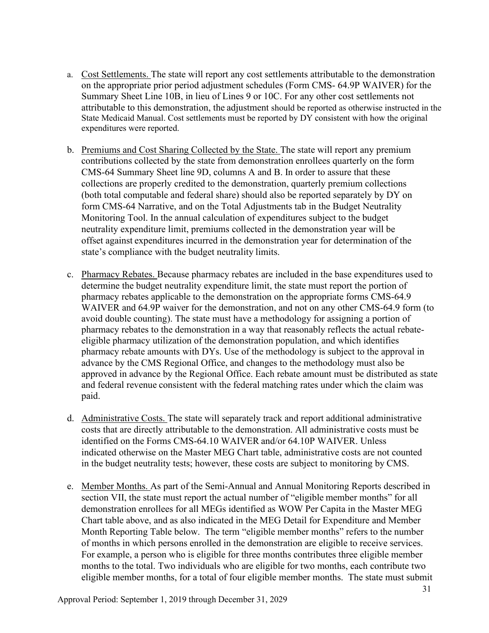- a. Cost Settlements. The state will report any cost settlements attributable to the demonstration on the appropriate prior period adjustment schedules (Form CMS- 64.9P WAIVER) for the Summary Sheet Line 10B, in lieu of Lines 9 or 10C. For any other cost settlements not attributable to this demonstration, the adjustment should be reported as otherwise instructed in the State Medicaid Manual. Cost settlements must be reported by DY consistent with how the original expenditures were reported.
- b. Premiums and Cost Sharing Collected by the State. The state will report any premium contributions collected by the state from demonstration enrollees quarterly on the form CMS-64 Summary Sheet line 9D, columns A and B. In order to assure that these collections are properly credited to the demonstration, quarterly premium collections (both total computable and federal share) should also be reported separately by DY on form CMS-64 Narrative, and on the Total Adjustments tab in the Budget Neutrality Monitoring Tool. In the annual calculation of expenditures subject to the budget neutrality expenditure limit, premiums collected in the demonstration year will be offset against expenditures incurred in the demonstration year for determination of the state's compliance with the budget neutrality limits.
- c. Pharmacy Rebates. Because pharmacy rebates are included in the base expenditures used to determine the budget neutrality expenditure limit, the state must report the portion of pharmacy rebates applicable to the demonstration on the appropriate forms CMS-64.9 WAIVER and 64.9P waiver for the demonstration, and not on any other CMS-64.9 form (to avoid double counting). The state must have a methodology for assigning a portion of pharmacy rebates to the demonstration in a way that reasonably reflects the actual rebateeligible pharmacy utilization of the demonstration population, and which identifies pharmacy rebate amounts with DYs. Use of the methodology is subject to the approval in advance by the CMS Regional Office, and changes to the methodology must also be approved in advance by the Regional Office. Each rebate amount must be distributed as state and federal revenue consistent with the federal matching rates under which the claim was paid.
- d. Administrative Costs. The state will separately track and report additional administrative costs that are directly attributable to the demonstration. All administrative costs must be identified on the Forms CMS-64.10 WAIVER and/or 64.10P WAIVER. Unless indicated otherwise on the Master MEG Chart table, administrative costs are not counted in the budget neutrality tests; however, these costs are subject to monitoring by CMS.
- e. Member Months. As part of the Semi-Annual and Annual Monitoring Reports described in section VII, the state must report the actual number of "eligible member months" for all demonstration enrollees for all MEGs identified as WOW Per Capita in the Master MEG Chart table above, and as also indicated in the MEG Detail for Expenditure and Member Month Reporting Table below. The term "eligible member months" refers to the number of months in which persons enrolled in the demonstration are eligible to receive services. For example, a person who is eligible for three months contributes three eligible member months to the total. Two individuals who are eligible for two months, each contribute two eligible member months, for a total of four eligible member months. The state must submit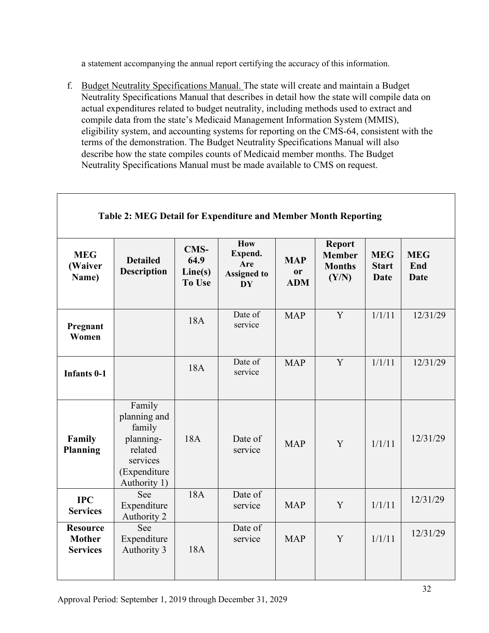a statement accompanying the annual report certifying the accuracy of this information.

f. Budget Neutrality Specifications Manual. The state will create and maintain a Budget Neutrality Specifications Manual that describes in detail how the state will compile data on actual expenditures related to budget neutrality, including methods used to extract and compile data from the state's Medicaid Management Information System (MMIS), eligibility system, and accounting systems for reporting on the CMS-64, consistent with the terms of the demonstration. The Budget Neutrality Specifications Manual will also describe how the state compiles counts of Medicaid member months. The Budget Neutrality Specifications Manual must be made available to CMS on request.

|                                                     | radic 2. MEG Detail for Expenditure and Member Month Reporting                                       |                                          |                                                          |                                       |                                                          |                                           |                                  |
|-----------------------------------------------------|------------------------------------------------------------------------------------------------------|------------------------------------------|----------------------------------------------------------|---------------------------------------|----------------------------------------------------------|-------------------------------------------|----------------------------------|
| <b>MEG</b><br>(Waiver<br>Name)                      | <b>Detailed</b><br><b>Description</b>                                                                | <b>CMS-</b><br>64.9<br>Line(s)<br>To Use | How<br>Expend.<br>Are<br><b>Assigned to</b><br><b>DY</b> | <b>MAP</b><br><b>or</b><br><b>ADM</b> | <b>Report</b><br><b>Member</b><br><b>Months</b><br>(Y/N) | <b>MEG</b><br><b>Start</b><br><b>Date</b> | <b>MEG</b><br>End<br><b>Date</b> |
| Pregnant<br>Women                                   |                                                                                                      | 18A                                      | Date of<br>service                                       | <b>MAP</b>                            | Y                                                        | 1/1/11                                    | 12/31/29                         |
| <b>Infants 0-1</b>                                  |                                                                                                      | 18A                                      | Date of<br>service                                       | <b>MAP</b>                            | Y                                                        | 1/1/11                                    | 12/31/29                         |
| Family<br><b>Planning</b>                           | Family<br>planning and<br>family<br>planning-<br>related<br>services<br>(Expenditure<br>Authority 1) | 18A                                      | Date of<br>service                                       | <b>MAP</b>                            | Y                                                        | 1/1/11                                    | 12/31/29                         |
| <b>IPC</b><br><b>Services</b>                       | See<br>Expenditure<br>Authority 2                                                                    | 18A                                      | Date of<br>service                                       | <b>MAP</b>                            | Y                                                        | 1/1/11                                    | 12/31/29                         |
| <b>Resource</b><br><b>Mother</b><br><b>Services</b> | See<br>Expenditure<br>Authority 3                                                                    | 18A                                      | Date of<br>service                                       | <b>MAP</b>                            | Y                                                        | 1/1/11                                    | 12/31/29                         |

## **Table 2: MEG Detail for Expenditure and Member Month Reporting**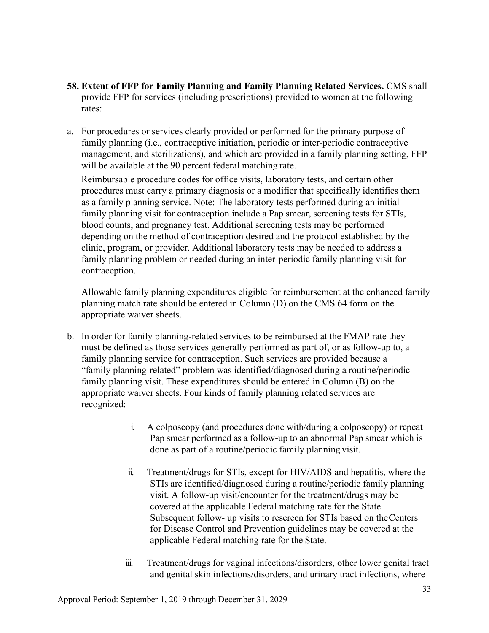- **58. Extent of FFP for Family Planning and Family Planning Related Services.** CMS shall provide FFP for services (including prescriptions) provided to women at the following rates:
- a. For procedures or services clearly provided or performed for the primary purpose of family planning (i.e., contraceptive initiation, periodic or inter-periodic contraceptive management, and sterilizations), and which are provided in a family planning setting, FFP will be available at the 90 percent federal matching rate.

Reimbursable procedure codes for office visits, laboratory tests, and certain other procedures must carry a primary diagnosis or a modifier that specifically identifies them as a family planning service. Note: The laboratory tests performed during an initial family planning visit for contraception include a Pap smear, screening tests for STIs, blood counts, and pregnancy test. Additional screening tests may be performed depending on the method of contraception desired and the protocol established by the clinic, program, or provider. Additional laboratory tests may be needed to address a family planning problem or needed during an inter-periodic family planning visit for contraception.

Allowable family planning expenditures eligible for reimbursement at the enhanced family planning match rate should be entered in Column (D) on the CMS 64 form on the appropriate waiver sheets.

- b. In order for family planning-related services to be reimbursed at the FMAP rate they must be defined as those services generally performed as part of, or as follow-up to, a family planning service for contraception. Such services are provided because a "family planning-related" problem was identified/diagnosed during a routine/periodic family planning visit. These expenditures should be entered in Column (B) on the appropriate waiver sheets. Four kinds of family planning related services are recognized:
	- i. A colposcopy (and procedures done with/during a colposcopy) or repeat Pap smear performed as a follow-up to an abnormal Pap smear which is done as part of a routine/periodic family planning visit.
	- ii. Treatment/drugs for STIs, except for HIV/AIDS and hepatitis, where the STIs are identified/diagnosed during a routine/periodic family planning visit. A follow-up visit/encounter for the treatment/drugs may be covered at the applicable Federal matching rate for the State. Subsequent follow- up visits to rescreen for STIs based on theCenters for Disease Control and Prevention guidelines may be covered at the applicable Federal matching rate for the State.
	- iii. Treatment/drugs for vaginal infections/disorders, other lower genital tract and genital skin infections/disorders, and urinary tract infections, where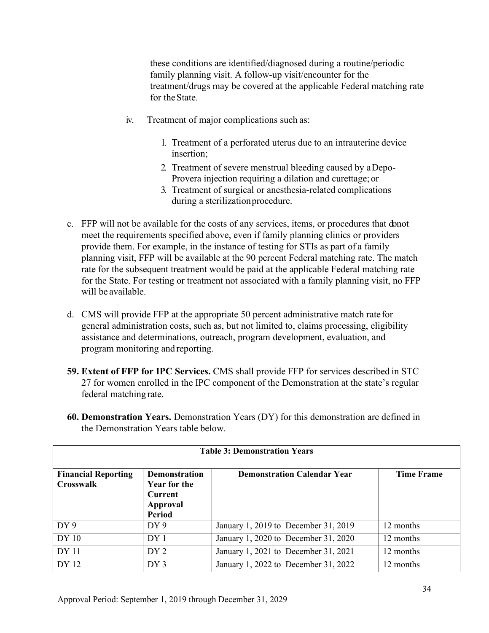these conditions are identified/diagnosed during a routine/periodic family planning visit. A follow-up visit/encounter for the treatment/drugs may be covered at the applicable Federal matching rate for theState.

- iv. Treatment of major complications such as:
	- 1. Treatment of a perforated uterus due to an intrauterine device insertion;
	- 2. Treatment of severe menstrual bleeding caused by aDepo-Provera injection requiring a dilation and curettage; or
	- 3. Treatment of surgical or anesthesia-related complications during a sterilizationprocedure.
- c. FFP will not be available for the costs of any services, items, or procedures that donot meet the requirements specified above, even if family planning clinics or providers provide them. For example, in the instance of testing for STIs as part of a family planning visit, FFP will be available at the 90 percent Federal matching rate. The match rate for the subsequent treatment would be paid at the applicable Federal matching rate for the State. For testing or treatment not associated with a family planning visit, no FFP will be available.
- d. CMS will provide FFP at the appropriate 50 percent administrative match ratefor general administration costs, such as, but not limited to, claims processing, eligibility assistance and determinations, outreach, program development, evaluation, and program monitoring and reporting.
- **59. Extent of FFP for IPC Services.** CMS shall provide FFP for services described in STC 27 for women enrolled in the IPC component of the Demonstration at the state's regular federal matching rate.

| <b>Table 3: Demonstration Years</b>            |                                                                              |                                      |                   |  |  |  |  |  |  |  |
|------------------------------------------------|------------------------------------------------------------------------------|--------------------------------------|-------------------|--|--|--|--|--|--|--|
| <b>Financial Reporting</b><br><b>Crosswalk</b> | Demonstration<br><b>Year for the</b><br><b>Current</b><br>Approval<br>Period | <b>Demonstration Calendar Year</b>   | <b>Time Frame</b> |  |  |  |  |  |  |  |
| DY9                                            | DY 9                                                                         | January 1, 2019 to December 31, 2019 | 12 months         |  |  |  |  |  |  |  |
| DY <sub>10</sub>                               | DY <sub>1</sub>                                                              | January 1, 2020 to December 31, 2020 | 12 months         |  |  |  |  |  |  |  |
| <b>DY</b> 11                                   | DY 2                                                                         | January 1, 2021 to December 31, 2021 | 12 months         |  |  |  |  |  |  |  |
| DY 12                                          | DY3                                                                          | January 1, 2022 to December 31, 2022 | 12 months         |  |  |  |  |  |  |  |

**60. Demonstration Years.** Demonstration Years (DY) for this demonstration are defined in the Demonstration Years table below.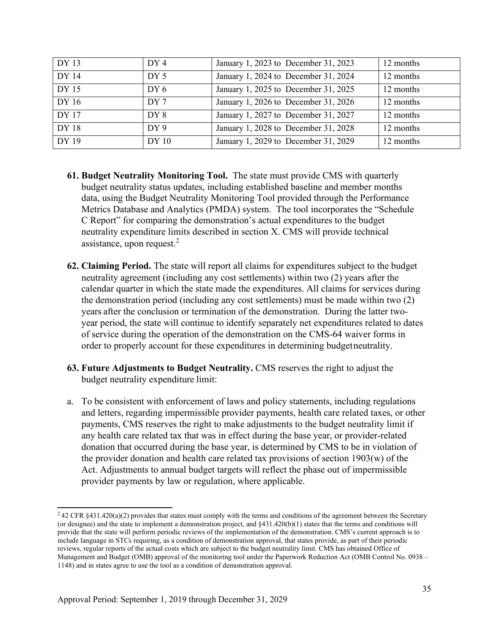| DY 13 | DY <sub>4</sub>  | January 1, 2023 to December 31, 2023 | 12 months |
|-------|------------------|--------------------------------------|-----------|
| DY 14 | DY <sub>5</sub>  | January 1, 2024 to December 31, 2024 | 12 months |
| DY 15 | DY 6             | January 1, 2025 to December 31, 2025 | 12 months |
| DY16  | DY 7             | January 1, 2026 to December 31, 2026 | 12 months |
| DY 17 | DY 8             | January 1, 2027 to December 31, 2027 | 12 months |
| DY 18 | DY9              | January 1, 2028 to December 31, 2028 | 12 months |
| DY 19 | DY <sub>10</sub> | January 1, 2029 to December 31, 2029 | 12 months |

- **61. Budget Neutrality Monitoring Tool.** The state must provide CMS with quarterly budget neutrality status updates, including established baseline and member months data, using the Budget Neutrality Monitoring Tool provided through the Performance Metrics Database and Analytics (PMDA) system. The tool incorporates the "Schedule C Report" for comparing the demonstration's actual expenditures to the budget neutrality expenditure limits described in section X. CMS will provide technical assistance, upon request. $2$
- **62. Claiming Period.** The state will report all claims for expenditures subject to the budget neutrality agreement (including any cost settlements) within two (2) years after the calendar quarter in which the state made the expenditures. All claims for services during the demonstration period (including any cost settlements) must be made within two (2) years after the conclusion or termination of the demonstration. During the latter twoyear period, the state will continue to identify separately net expenditures related to dates of service during the operation of the demonstration on the CMS-64 waiver forms in order to properly account for these expenditures in determining budgetneutrality.
- **63. Future Adjustments to Budget Neutrality.** CMS reserves the right to adjust the budget neutrality expenditure limit:
- a. To be consistent with enforcement of laws and policy statements, including regulations and letters, regarding impermissible provider payments, health care related taxes, or other payments, CMS reserves the right to make adjustments to the budget neutrality limit if any health care related tax that was in effect during the base year, or provider-related donation that occurred during the base year, is determined by CMS to be in violation of the provider donation and health care related tax provisions of section 1903(w) of the Act. Adjustments to annual budget targets will reflect the phase out of impermissible provider payments by law or regulation, where applicable.

<sup>&</sup>lt;sup>2</sup> 42 CFR §431.420(a)(2) provides that states must comply with the terms and conditions of the agreement between the Secretary (or designee) and the state to implement a demonstration project, and §431.420(b)(1) states that the terms and conditions will provide that the state will perform periodic reviews of the implementation of the demonstration. CMS's current approach is to include language in STCs requiring, as a condition of demonstration approval, that states provide, as part of their periodic reviews, regular reports of the actual costs which are subject to the budget neutrality limit. CMS has obtained Office of Management and Budget (OMB) approval of the monitoring tool under the Paperwork Reduction Act (OMB Control No. 0938 – 1148) and in states agree to use the tool as a condition of demonstration approval.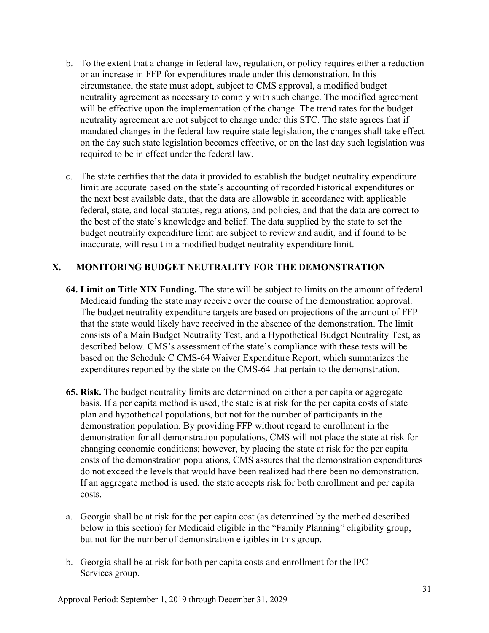- b. To the extent that a change in federal law, regulation, or policy requires either a reduction or an increase in FFP for expenditures made under this demonstration. In this circumstance, the state must adopt, subject to CMS approval, a modified budget neutrality agreement as necessary to comply with such change. The modified agreement will be effective upon the implementation of the change. The trend rates for the budget neutrality agreement are not subject to change under this STC. The state agrees that if mandated changes in the federal law require state legislation, the changes shall take effect on the day such state legislation becomes effective, or on the last day such legislation was required to be in effect under the federal law.
- c. The state certifies that the data it provided to establish the budget neutrality expenditure limit are accurate based on the state's accounting of recorded historical expenditures or the next best available data, that the data are allowable in accordance with applicable federal, state, and local statutes, regulations, and policies, and that the data are correct to the best of the state's knowledge and belief. The data supplied by the state to set the budget neutrality expenditure limit are subject to review and audit, and if found to be inaccurate, will result in a modified budget neutrality expenditure limit.

## **X. MONITORING BUDGET NEUTRALITY FOR THE DEMONSTRATION**

- **64. Limit on Title XIX Funding.** The state will be subject to limits on the amount of federal Medicaid funding the state may receive over the course of the demonstration approval. The budget neutrality expenditure targets are based on projections of the amount of FFP that the state would likely have received in the absence of the demonstration. The limit consists of a Main Budget Neutrality Test, and a Hypothetical Budget Neutrality Test, as described below. CMS's assessment of the state's compliance with these tests will be based on the Schedule C CMS-64 Waiver Expenditure Report, which summarizes the expenditures reported by the state on the CMS-64 that pertain to the demonstration.
- **65. Risk.** The budget neutrality limits are determined on either a per capita or aggregate basis. If a per capita method is used, the state is at risk for the per capita costs of state plan and hypothetical populations, but not for the number of participants in the demonstration population. By providing FFP without regard to enrollment in the demonstration for all demonstration populations, CMS will not place the state at risk for changing economic conditions; however, by placing the state at risk for the per capita costs of the demonstration populations, CMS assures that the demonstration expenditures do not exceed the levels that would have been realized had there been no demonstration. If an aggregate method is used, the state accepts risk for both enrollment and per capita costs.
- a. Georgia shall be at risk for the per capita cost (as determined by the method described below in this section) for Medicaid eligible in the "Family Planning" eligibility group, but not for the number of demonstration eligibles in this group.
- b. Georgia shall be at risk for both per capita costs and enrollment for the IPC Services group.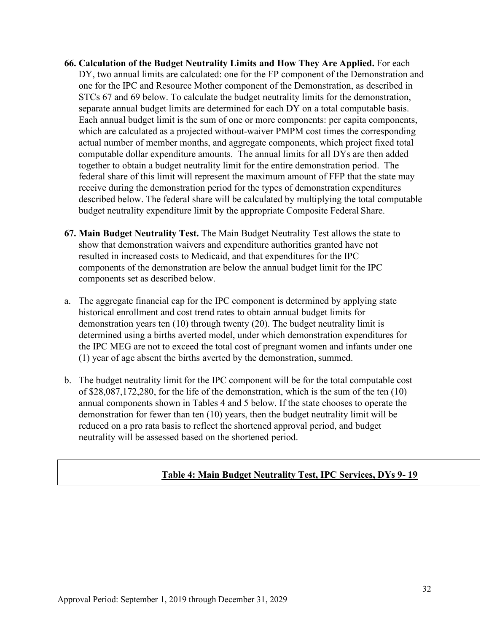- **66. Calculation of the Budget Neutrality Limits and How They Are Applied.** For each DY, two annual limits are calculated: one for the FP component of the Demonstration and one for the IPC and Resource Mother component of the Demonstration, as described in STCs 67 and 69 below. To calculate the budget neutrality limits for the demonstration, separate annual budget limits are determined for each DY on a total computable basis. Each annual budget limit is the sum of one or more components: per capita components, which are calculated as a projected without-waiver PMPM cost times the corresponding actual number of member months, and aggregate components, which project fixed total computable dollar expenditure amounts. The annual limits for all DYs are then added together to obtain a budget neutrality limit for the entire demonstration period. The federal share of this limit will represent the maximum amount of FFP that the state may receive during the demonstration period for the types of demonstration expenditures described below. The federal share will be calculated by multiplying the total computable budget neutrality expenditure limit by the appropriate Composite Federal Share.
- **67. Main Budget Neutrality Test.** The Main Budget Neutrality Test allows the state to show that demonstration waivers and expenditure authorities granted have not resulted in increased costs to Medicaid, and that expenditures for the IPC components of the demonstration are below the annual budget limit for the IPC components set as described below.
- a. The aggregate financial cap for the IPC component is determined by applying state historical enrollment and cost trend rates to obtain annual budget limits for demonstration years ten (10) through twenty (20). The budget neutrality limit is determined using a births averted model, under which demonstration expenditures for the IPC MEG are not to exceed the total cost of pregnant women and infants under one (1) year of age absent the births averted by the demonstration, summed.
- b. The budget neutrality limit for the IPC component will be for the total computable cost of \$28,087,172,280, for the life of the demonstration, which is the sum of the ten (10) annual components shown in Tables 4 and 5 below. If the state chooses to operate the demonstration for fewer than ten (10) years, then the budget neutrality limit will be reduced on a pro rata basis to reflect the shortened approval period, and budget neutrality will be assessed based on the shortened period.

## **Table 4: Main Budget Neutrality Test, IPC Services, DYs 9- 19**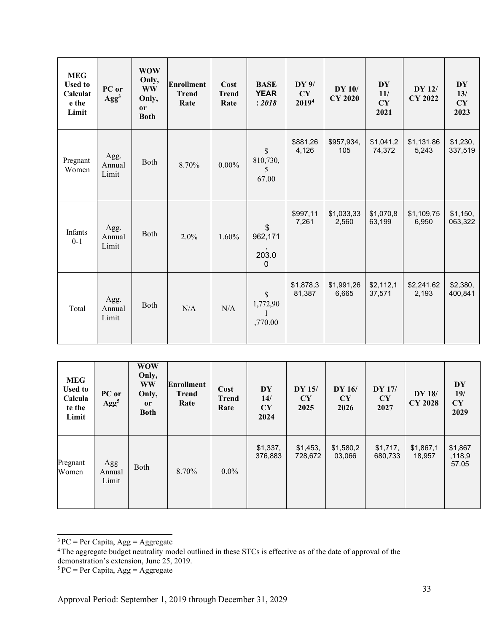| <b>MEG</b><br><b>Used to</b><br>Calculat<br>e the<br>Limit | PC or<br>Agg <sup>3</sup> | <b>WOW</b><br>Only,<br><b>WW</b><br>Only,<br><sub>or</sub><br><b>Both</b> | <b>Enrollment</b><br><b>Trend</b><br>Rate | Cost<br><b>Trend</b><br>Rate | <b>BASE</b><br><b>YEAR</b><br>: 2018           | DY 9/<br>CY<br>20194 | <b>DY 10/</b><br><b>CY 2020</b> | <b>DY</b><br>11/<br>CY<br>2021 | DY 12/<br><b>CY 2022</b> | <b>DY</b><br>13/<br>CY<br>2023 |
|------------------------------------------------------------|---------------------------|---------------------------------------------------------------------------|-------------------------------------------|------------------------------|------------------------------------------------|----------------------|---------------------------------|--------------------------------|--------------------------|--------------------------------|
| Pregnant<br>Women                                          | Agg.<br>Annual<br>Limit   | Both                                                                      | 8.70%                                     | $0.00\%$                     | $\mathbb{S}$<br>810,730,<br>5<br>67.00         | \$881,26<br>4,126    | \$957,934,<br>105               | \$1,041,2<br>74,372            | \$1,131,86<br>5,243      | \$1,230,<br>337,519            |
| Infants<br>$0 - 1$                                         | Agg.<br>Annual<br>Limit   | Both                                                                      | 2.0%                                      | 1.60%                        | $\frac{1}{2}$<br>962,171<br>203.0<br>$\pmb{0}$ | \$997,11<br>7,261    | \$1,033,33<br>2,560             | \$1,070,8<br>63,199            | \$1,109,75<br>6,950      | \$1,150,<br>063,322            |
| Total                                                      | Agg.<br>Annual<br>Limit   | Both                                                                      | N/A                                       | N/A                          | $\mathbb{S}$<br>1,772,90<br>,770.00            | \$1,878,3<br>81,387  | \$1,991,26<br>6,665             | \$2,112,1<br>37,571            | \$2,241,62<br>2,193      | \$2,380,<br>400,841            |

| <b>MEG</b><br><b>Used to</b><br>Calcula<br>te the<br>Limit | PC or<br>Agg <sup>5</sup> | <b>WOW</b><br>Only,<br><b>WW</b><br>Only,<br><b>or</b><br><b>Both</b> | <b>Enrollment</b><br><b>Trend</b><br>Rate | Cost<br><b>Trend</b><br>Rate | DY<br>14/<br>CY<br>2024 | DY 15/<br>CY<br>2025 | <b>DY 16/</b><br><b>CY</b><br>2026 | <b>DY 17/</b><br>CY<br>2027 | DY 18/<br><b>CY 2028</b> | DY<br>19/<br>CY<br>2029    |
|------------------------------------------------------------|---------------------------|-----------------------------------------------------------------------|-------------------------------------------|------------------------------|-------------------------|----------------------|------------------------------------|-----------------------------|--------------------------|----------------------------|
| Pregnant<br>Women                                          | Agg<br>Annual<br>Limit    | Both                                                                  | 8.70%                                     | $0.0\%$                      | \$1,337,<br>376,883     | \$1,453,<br>728,672  | \$1,580,2<br>03,066                | \$1,717,<br>680,733         | \$1,867,1<br>18,957      | \$1,867<br>,118,9<br>57.05 |

 $3 PC = Per Capita, Agg = Aggregate$ 

 $5 PC = Per Capita, Agg = Aggregate$ 

<sup>&</sup>lt;sup>4</sup> The aggregate budget neutrality model outlined in these STCs is effective as of the date of approval of the demonstration's extension, June 25, 2019.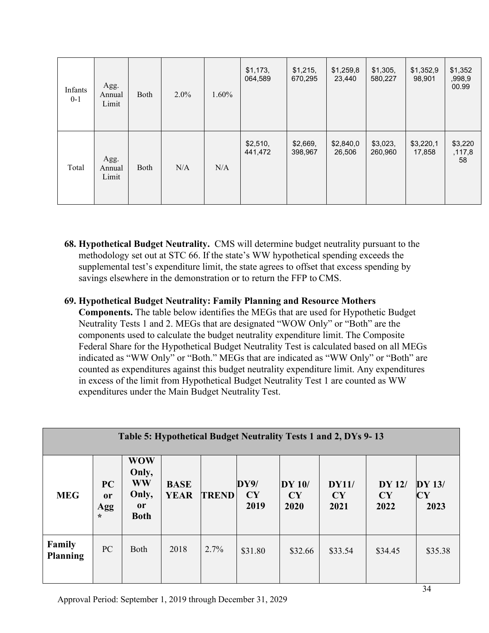| Infants<br>$0 - 1$ | Agg.<br>Annual<br>Limit | Both | $2.0\%$ | 1.60% | \$1,173,<br>064,589 | \$1,215,<br>670,295 | \$1,259,8<br>23,440 | \$1,305,<br>580,227 | \$1,352,9<br>98,901 | \$1,352<br>,998,9<br>00.99 |
|--------------------|-------------------------|------|---------|-------|---------------------|---------------------|---------------------|---------------------|---------------------|----------------------------|
| Total              | Agg.<br>Annual<br>Limit | Both | N/A     | N/A   | \$2,510,<br>441,472 | \$2,669,<br>398,967 | \$2,840,0<br>26,506 | \$3,023,<br>260,960 | \$3,220,1<br>17,858 | \$3,220<br>,117,8<br>58    |

- **68. Hypothetical Budget Neutrality.** CMS will determine budget neutrality pursuant to the methodology set out at STC 66. If the state's WW hypothetical spending exceeds the supplemental test's expenditure limit, the state agrees to offset that excess spending by savings elsewhere in the demonstration or to return the FFP to CMS.
- **69. Hypothetical Budget Neutrality: Family Planning and Resource Mothers**

**Components.** The table below identifies the MEGs that are used for Hypothetic Budget Neutrality Tests 1 and 2. MEGs that are designated "WOW Only" or "Both" are the components used to calculate the budget neutrality expenditure limit. The Composite Federal Share for the Hypothetical Budget Neutrality Test is calculated based on all MEGs indicated as "WW Only" or "Both." MEGs that are indicated as "WW Only" or "Both" are counted as expenditures against this budget neutrality expenditure limit. Any expenditures in excess of the limit from Hypothetical Budget Neutrality Test 1 are counted as WW expenditures under the Main Budget Neutrality Test.

| Table 5: Hypothetical Budget Neutrality Tests 1 and 2, DYs 9-13 |                                       |                                                                           |                            |              |                    |                      |                     |                                    |                               |  |  |  |
|-----------------------------------------------------------------|---------------------------------------|---------------------------------------------------------------------------|----------------------------|--------------|--------------------|----------------------|---------------------|------------------------------------|-------------------------------|--|--|--|
| <b>MEG</b>                                                      | PC<br><sub>or</sub><br>Agg<br>$\star$ | <b>WOW</b><br>Only,<br><b>WW</b><br>Only,<br><sub>or</sub><br><b>Both</b> | <b>BASE</b><br><b>YEAR</b> | <b>TREND</b> | DY9/<br>CY<br>2019 | DY 10/<br>CY<br>2020 | DY11/<br>CY<br>2021 | <b>DY 12/</b><br><b>CY</b><br>2022 | $DY$ 13/<br><b>CY</b><br>2023 |  |  |  |
| <b>Family</b><br><b>Planning</b>                                | PC                                    | <b>Both</b>                                                               | 2018                       | 2.7%         | \$31.80            | \$32.66              | \$33.54             | \$34.45                            | \$35.38                       |  |  |  |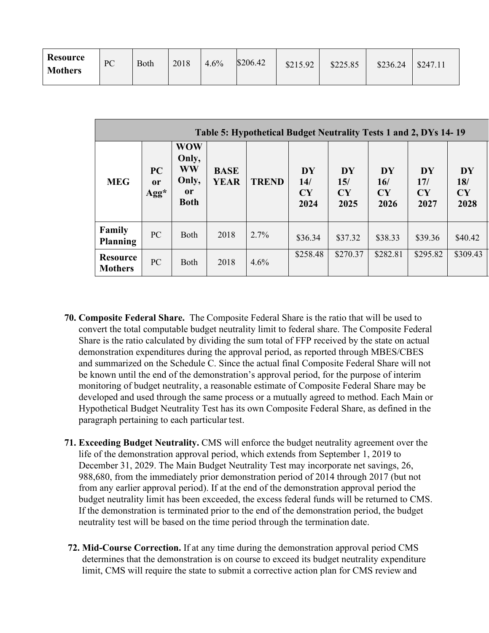| <b>Resource</b><br><b>Mothers</b> | PC | Both | 2018 | 4.6% | \$206.42 | \$215.92 | \$225.85 | \$236.24 | \$247.11 |
|-----------------------------------|----|------|------|------|----------|----------|----------|----------|----------|
|-----------------------------------|----|------|------|------|----------|----------|----------|----------|----------|

| Table 5: Hypothetical Budget Neutrality Tests 1 and 2, DYs 14-19 |                                |                                                                           |                            |              |                                |                         |                                |                                |                                |
|------------------------------------------------------------------|--------------------------------|---------------------------------------------------------------------------|----------------------------|--------------|--------------------------------|-------------------------|--------------------------------|--------------------------------|--------------------------------|
| <b>MEG</b>                                                       | PC<br>0r<br>$\rm{Agg}^{\star}$ | <b>WOW</b><br>Only,<br><b>WW</b><br>Only,<br><sub>or</sub><br><b>Both</b> | <b>BASE</b><br><b>YEAR</b> | <b>TREND</b> | <b>DY</b><br>14/<br>CY<br>2024 | DY<br>15/<br>CY<br>2025 | <b>DY</b><br>16/<br>CY<br>2026 | <b>DY</b><br>17/<br>CY<br>2027 | <b>DY</b><br>18/<br>CY<br>2028 |
| Family<br><b>Planning</b>                                        | PC                             | <b>Both</b>                                                               | 2018                       | 2.7%         | \$36.34                        | \$37.32                 | \$38.33                        | \$39.36                        | \$40.42                        |
| <b>Resource</b><br><b>Mothers</b>                                | PC                             | <b>Both</b>                                                               | 2018                       | 4.6%         | \$258.48                       | \$270.37                | \$282.81                       | \$295.82                       | \$309.43                       |

- **70. Composite Federal Share.** The Composite Federal Share is the ratio that will be used to convert the total computable budget neutrality limit to federal share. The Composite Federal Share is the ratio calculated by dividing the sum total of FFP received by the state on actual demonstration expenditures during the approval period, as reported through MBES/CBES and summarized on the Schedule C. Since the actual final Composite Federal Share will not be known until the end of the demonstration's approval period, for the purpose of interim monitoring of budget neutrality, a reasonable estimate of Composite Federal Share may be developed and used through the same process or a mutually agreed to method. Each Main or Hypothetical Budget Neutrality Test has its own Composite Federal Share, as defined in the paragraph pertaining to each particular test.
- **71. Exceeding Budget Neutrality.** CMS will enforce the budget neutrality agreement over the life of the demonstration approval period, which extends from September 1, 2019 to December 31, 2029. The Main Budget Neutrality Test may incorporate net savings, 26, 988,680, from the immediately prior demonstration period of 2014 through 2017 (but not from any earlier approval period). If at the end of the demonstration approval period the budget neutrality limit has been exceeded, the excess federal funds will be returned to CMS. If the demonstration is terminated prior to the end of the demonstration period, the budget neutrality test will be based on the time period through the termination date.
- **72. Mid-Course Correction.** If at any time during the demonstration approval period CMS determines that the demonstration is on course to exceed its budget neutrality expenditure limit, CMS will require the state to submit a corrective action plan for CMS review and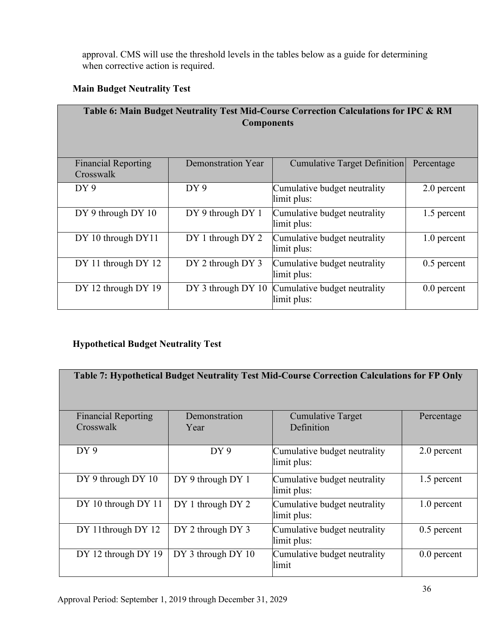approval. CMS will use the threshold levels in the tables below as a guide for determining when corrective action is required.

# **Main Budget Neutrality Test**

| Table 6: Main Budget Neutrality Test Mid-Course Correction Calculations for IPC & RM<br><b>Components</b> |                    |                                             |               |  |  |
|-----------------------------------------------------------------------------------------------------------|--------------------|---------------------------------------------|---------------|--|--|
| <b>Financial Reporting</b><br>Crosswalk                                                                   | Demonstration Year | <b>Cumulative Target Definition</b>         | Percentage    |  |  |
| DY9                                                                                                       | DY9                | Cumulative budget neutrality<br>limit plus: | 2.0 percent   |  |  |
| DY 9 through DY 10                                                                                        | DY 9 through DY 1  | Cumulative budget neutrality<br>limit plus: | 1.5 percent   |  |  |
| DY 10 through DY11                                                                                        | DY 1 through DY 2  | Cumulative budget neutrality<br>limit plus: | 1.0 percent   |  |  |
| DY 11 through DY 12                                                                                       | DY 2 through DY 3  | Cumulative budget neutrality<br>limit plus: | $0.5$ percent |  |  |
| DY 12 through DY 19                                                                                       | DY 3 through DY 10 | Cumulative budget neutrality<br>limit plus: | $0.0$ percent |  |  |

# **Hypothetical Budget Neutrality Test**

| Table 7: Hypothetical Budget Neutrality Test Mid-Course Correction Calculations for FP Only |                    |                                             |               |  |  |  |
|---------------------------------------------------------------------------------------------|--------------------|---------------------------------------------|---------------|--|--|--|
| <b>Financial Reporting</b>                                                                  | Demonstration      | <b>Cumulative Target</b>                    | Percentage    |  |  |  |
| Crosswalk                                                                                   | Year               | Definition                                  |               |  |  |  |
| DY9                                                                                         | DY9                | Cumulative budget neutrality<br>limit plus: | 2.0 percent   |  |  |  |
| DY 9 through DY 10                                                                          | DY 9 through DY 1  | Cumulative budget neutrality<br>limit plus: | 1.5 percent   |  |  |  |
| DY 10 through DY 11                                                                         | DY 1 through DY 2  | Cumulative budget neutrality<br>limit plus: | 1.0 percent   |  |  |  |
| DY 11through DY 12                                                                          | DY 2 through DY 3  | Cumulative budget neutrality<br>limit plus: | $0.5$ percent |  |  |  |
| DY 12 through DY 19                                                                         | DY 3 through DY 10 | Cumulative budget neutrality<br>limit       | $0.0$ percent |  |  |  |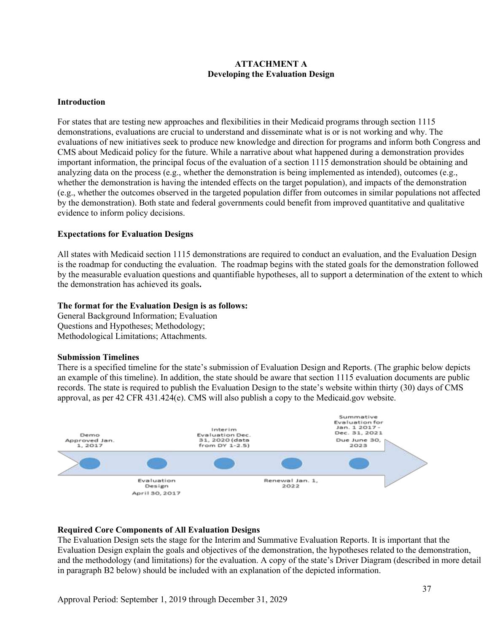### **ATTACHMENT A Developing the Evaluation Design**

### **Introduction**

For states that are testing new approaches and flexibilities in their Medicaid programs through section 1115 demonstrations, evaluations are crucial to understand and disseminate what is or is not working and why. The evaluations of new initiatives seek to produce new knowledge and direction for programs and inform both Congress and CMS about Medicaid policy for the future. While a narrative about what happened during a demonstration provides important information, the principal focus of the evaluation of a section 1115 demonstration should be obtaining and analyzing data on the process (e.g., whether the demonstration is being implemented as intended), outcomes (e.g., whether the demonstration is having the intended effects on the target population), and impacts of the demonstration (e.g., whether the outcomes observed in the targeted population differ from outcomes in similar populations not affected by the demonstration). Both state and federal governments could benefit from improved quantitative and qualitative evidence to inform policy decisions.

#### **Expectations for Evaluation Designs**

All states with Medicaid section 1115 demonstrations are required to conduct an evaluation, and the Evaluation Design is the roadmap for conducting the evaluation. The roadmap begins with the stated goals for the demonstration followed by the measurable evaluation questions and quantifiable hypotheses, all to support a determination of the extent to which the demonstration has achieved its goals**.**

#### **The format for the Evaluation Design is as follows:**

General Background Information; Evaluation Questions and Hypotheses; Methodology; Methodological Limitations; Attachments.

#### **Submission Timelines**

There is a specified timeline for the state's submission of Evaluation Design and Reports. (The graphic below depicts an example of this timeline). In addition, the state should be aware that section 1115 evaluation documents are public records. The state is required to publish the Evaluation Design to the state's website within thirty (30) days of CMS approval, as per 42 CFR 431.424(e). CMS will also publish a copy to the Medicaid.gov website.



#### **Required Core Components of All Evaluation Designs**

The Evaluation Design sets the stage for the Interim and Summative Evaluation Reports. It is important that the Evaluation Design explain the goals and objectives of the demonstration, the hypotheses related to the demonstration, and the methodology (and limitations) for the evaluation. A copy of the state's Driver Diagram (described in more detail in paragraph B2 below) should be included with an explanation of the depicted information.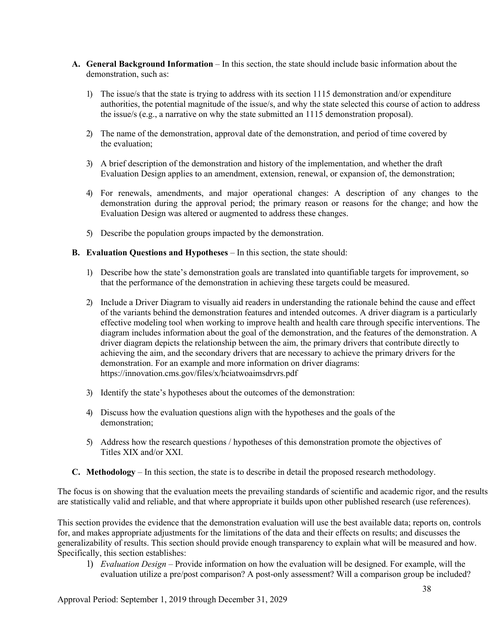- **A. General Background Information**  In this section, the state should include basic information about the demonstration, such as:
	- 1) The issue/s that the state is trying to address with its section 1115 demonstration and/or expenditure authorities, the potential magnitude of the issue/s, and why the state selected this course of action to address the issue/s (e.g., a narrative on why the state submitted an 1115 demonstration proposal).
	- 2) The name of the demonstration, approval date of the demonstration, and period of time covered by the evaluation;
	- 3) A brief description of the demonstration and history of the implementation, and whether the draft Evaluation Design applies to an amendment, extension, renewal, or expansion of, the demonstration;
	- 4) For renewals, amendments, and major operational changes: A description of any changes to the demonstration during the approval period; the primary reason or reasons for the change; and how the Evaluation Design was altered or augmented to address these changes.
	- 5) Describe the population groups impacted by the demonstration.

#### **B. Evaluation Questions and Hypotheses** – In this section, the state should:

- 1) Describe how the state's demonstration goals are translated into quantifiable targets for improvement, so that the performance of the demonstration in achieving these targets could be measured.
- 2) Include a Driver Diagram to visually aid readers in understanding the rationale behind the cause and effect of the variants behind the demonstration features and intended outcomes. A driver diagram is a particularly effective modeling tool when working to improve health and health care through specific interventions. The diagram includes information about the goal of the demonstration, and the features of the demonstration. A driver diagram depicts the relationship between the aim, the primary drivers that contribute directly to achieving the aim, and the secondary drivers that are necessary to achieve the primary drivers for the demonstration. For an example and more information on driver diagrams: <https://innovation.cms.gov/files/x/hciatwoaimsdrvrs.pdf>
- 3) Identify the state's hypotheses about the outcomes of the demonstration:
- 4) Discuss how the evaluation questions align with the hypotheses and the goals of the demonstration;
- 5) Address how the research questions / hypotheses of this demonstration promote the objectives of Titles XIX and/or XXI.
- **C. Methodology**  In this section, the state is to describe in detail the proposed research methodology.

The focus is on showing that the evaluation meets the prevailing standards of scientific and academic rigor, and the results are statistically valid and reliable, and that where appropriate it builds upon other published research (use references).

This section provides the evidence that the demonstration evaluation will use the best available data; reports on, controls for, and makes appropriate adjustments for the limitations of the data and their effects on results; and discusses the generalizability of results. This section should provide enough transparency to explain what will be measured and how. Specifically, this section establishes:

1) *Evaluation Design –* Provide information on how the evaluation will be designed. For example, will the evaluation utilize a pre/post comparison? A post-only assessment? Will a comparison group be included?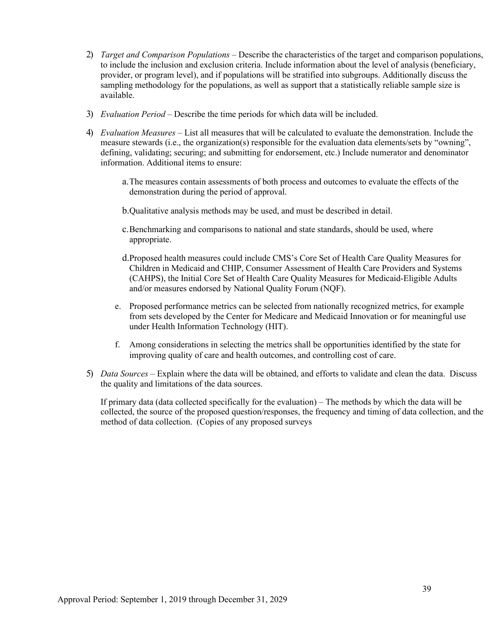- 2) *Target and Comparison Populations* Describe the characteristics of the target and comparison populations, to include the inclusion and exclusion criteria. Include information about the level of analysis (beneficiary, provider, or program level), and if populations will be stratified into subgroups. Additionally discuss the sampling methodology for the populations, as well as support that a statistically reliable sample size is available.
- 3) *Evaluation Period –* Describe the time periods for which data will be included.
- 4) *Evaluation Measures –* List all measures that will be calculated to evaluate the demonstration. Include the measure stewards (i.e., the organization(s) responsible for the evaluation data elements/sets by "owning", defining, validating; securing; and submitting for endorsement, etc.) Include numerator and denominator information. Additional items to ensure:
	- a.The measures contain assessments of both process and outcomes to evaluate the effects of the demonstration during the period of approval.
	- b.Qualitative analysis methods may be used, and must be described in detail.
	- c.Benchmarking and comparisons to national and state standards, should be used, where appropriate.
	- d.Proposed health measures could include CMS's Core Set of Health Care Quality Measures for Children in Medicaid and CHIP, Consumer Assessment of Health Care Providers and Systems (CAHPS), the Initial Core Set of Health Care Quality Measures for Medicaid-Eligible Adults and/or measures endorsed by National Quality Forum (NQF).
	- e. Proposed performance metrics can be selected from nationally recognized metrics, for example from sets developed by the Center for Medicare and Medicaid Innovation or for meaningful use under Health Information Technology (HIT).
	- f. Among considerations in selecting the metrics shall be opportunities identified by the state for improving quality of care and health outcomes, and controlling cost of care.
- 5) *Data Sources –* Explain where the data will be obtained, and efforts to validate and clean the data. Discuss the quality and limitations of the data sources.

If primary data (data collected specifically for the evaluation) – The methods by which the data will be collected, the source of the proposed question/responses, the frequency and timing of data collection, and the method of data collection. (Copies of any proposed surveys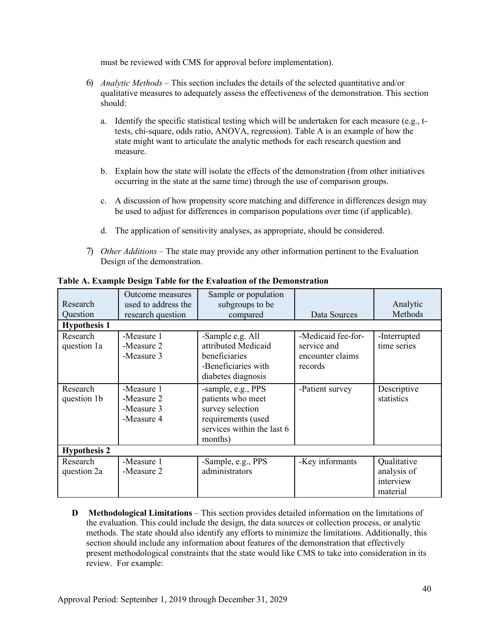must be reviewed with CMS for approval before implementation).

- 6) *Analytic Methods –* This section includes the details of the selected quantitative and/or qualitative measures to adequately assess the effectiveness of the demonstration. This section should:
	- a. Identify the specific statistical testing which will be undertaken for each measure (e.g., ttests, chi-square, odds ratio, ANOVA, regression). Table A is an example of how the state might want to articulate the analytic methods for each research question and measure.
	- b. Explain how the state will isolate the effects of the demonstration (from other initiatives occurring in the state at the same time) through the use of comparison groups.
	- c. A discussion of how propensity score matching and difference in differences design may be used to adjust for differences in comparison populations over time (if applicable).
	- d. The application of sensitivity analyses, as appropriate, should be considered.
- 7) *Other Additions –* The state may provide any other information pertinent to the Evaluation Design of the demonstration.

| Research<br>Question<br><b>Hypothesis 1</b> | Outcome measures<br>used to address the<br>research question | Sample or population<br>subgroups to be<br>compared                                                                        | Data Sources                                                     | Analytic<br>Methods                                 |  |  |
|---------------------------------------------|--------------------------------------------------------------|----------------------------------------------------------------------------------------------------------------------------|------------------------------------------------------------------|-----------------------------------------------------|--|--|
| Research<br>question 1a                     | -Measure 1<br>-Measure 2<br>-Measure 3                       | -Sample e.g. All<br>attributed Medicaid<br>beneficiaries<br>-Beneficiaries with<br>diabetes diagnosis                      | -Medicaid fee-for-<br>service and<br>encounter claims<br>records | -Interrupted<br>time series                         |  |  |
| Research<br>question 1b                     | -Measure 1<br>-Measure 2<br>-Measure 3<br>-Measure 4         | -sample, e.g., PPS<br>patients who meet<br>survey selection<br>requirements (used<br>services within the last 6<br>months) | -Patient survey                                                  | Descriptive<br>statistics                           |  |  |
| <b>Hypothesis 2</b>                         |                                                              |                                                                                                                            |                                                                  |                                                     |  |  |
| Research<br>question 2a                     | -Measure 1<br>-Measure 2                                     | -Sample, e.g., PPS<br>administrators                                                                                       | -Key informants                                                  | Qualitative<br>analysis of<br>interview<br>material |  |  |

**Table A. Example Design Table for the Evaluation of the Demonstration**

**D Methodological Limitations** – This section provides detailed information on the limitations of the evaluation. This could include the design, the data sources or collection process, or analytic methods. The state should also identify any efforts to minimize the limitations. Additionally, this section should include any information about features of the demonstration that effectively present methodological constraints that the state would like CMS to take into consideration in its review. For example: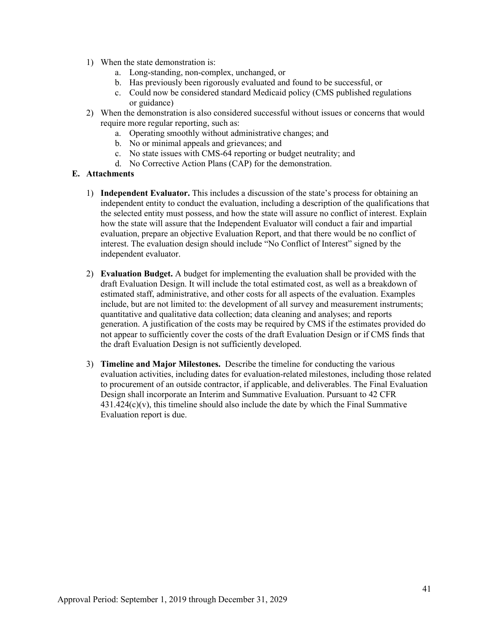- 1) When the state demonstration is:
	- a. Long-standing, non-complex, unchanged, or
	- b. Has previously been rigorously evaluated and found to be successful, or
	- c. Could now be considered standard Medicaid policy (CMS published regulations or guidance)
- 2) When the demonstration is also considered successful without issues or concerns that would require more regular reporting, such as:
	- a. Operating smoothly without administrative changes; and
	- b. No or minimal appeals and grievances; and
	- c. No state issues with CMS-64 reporting or budget neutrality; and
	- d. No Corrective Action Plans (CAP) for the demonstration.

#### **E. Attachments**

- 1) **Independent Evaluator.** This includes a discussion of the state's process for obtaining an independent entity to conduct the evaluation, including a description of the qualifications that the selected entity must possess, and how the state will assure no conflict of interest. Explain how the state will assure that the Independent Evaluator will conduct a fair and impartial evaluation, prepare an objective Evaluation Report, and that there would be no conflict of interest. The evaluation design should include "No Conflict of Interest" signed by the independent evaluator.
- 2) **Evaluation Budget.** A budget for implementing the evaluation shall be provided with the draft Evaluation Design. It will include the total estimated cost, as well as a breakdown of estimated staff, administrative, and other costs for all aspects of the evaluation. Examples include, but are not limited to: the development of all survey and measurement instruments; quantitative and qualitative data collection; data cleaning and analyses; and reports generation. A justification of the costs may be required by CMS if the estimates provided do not appear to sufficiently cover the costs of the draft Evaluation Design or if CMS finds that the draft Evaluation Design is not sufficiently developed.
- 3) **Timeline and Major Milestones.** Describe the timeline for conducting the various evaluation activities, including dates for evaluation-related milestones, including those related to procurement of an outside contractor, if applicable, and deliverables. The Final Evaluation Design shall incorporate an Interim and Summative Evaluation. Pursuant to 42 CFR  $431.424(c)(v)$ , this timeline should also include the date by which the Final Summative Evaluation report is due.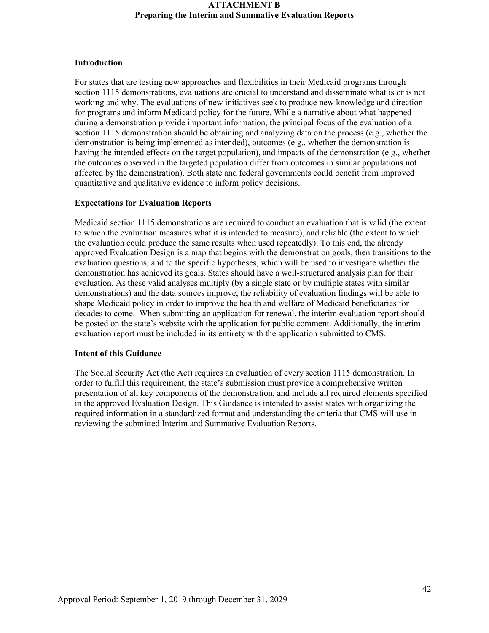#### **Introduction**

For states that are testing new approaches and flexibilities in their Medicaid programs through section 1115 demonstrations, evaluations are crucial to understand and disseminate what is or is not working and why. The evaluations of new initiatives seek to produce new knowledge and direction for programs and inform Medicaid policy for the future. While a narrative about what happened during a demonstration provide important information, the principal focus of the evaluation of a section 1115 demonstration should be obtaining and analyzing data on the process (e.g., whether the demonstration is being implemented as intended), outcomes (e.g., whether the demonstration is having the intended effects on the target population), and impacts of the demonstration (e.g., whether the outcomes observed in the targeted population differ from outcomes in similar populations not affected by the demonstration). Both state and federal governments could benefit from improved quantitative and qualitative evidence to inform policy decisions.

#### **Expectations for Evaluation Reports**

Medicaid section 1115 demonstrations are required to conduct an evaluation that is valid (the extent to which the evaluation measures what it is intended to measure), and reliable (the extent to which the evaluation could produce the same results when used repeatedly). To this end, the already approved Evaluation Design is a map that begins with the demonstration goals, then transitions to the evaluation questions, and to the specific hypotheses, which will be used to investigate whether the demonstration has achieved its goals. States should have a well-structured analysis plan for their evaluation. As these valid analyses multiply (by a single state or by multiple states with similar demonstrations) and the data sources improve, the reliability of evaluation findings will be able to shape Medicaid policy in order to improve the health and welfare of Medicaid beneficiaries for decades to come. When submitting an application for renewal, the interim evaluation report should be posted on the state's website with the application for public comment. Additionally, the interim evaluation report must be included in its entirety with the application submitted to CMS.

#### **Intent of this Guidance**

The Social Security Act (the Act) requires an evaluation of every section 1115 demonstration. In order to fulfill this requirement, the state's submission must provide a comprehensive written presentation of all key components of the demonstration, and include all required elements specified in the approved Evaluation Design. This Guidance is intended to assist states with organizing the required information in a standardized format and understanding the criteria that CMS will use in reviewing the submitted Interim and Summative Evaluation Reports.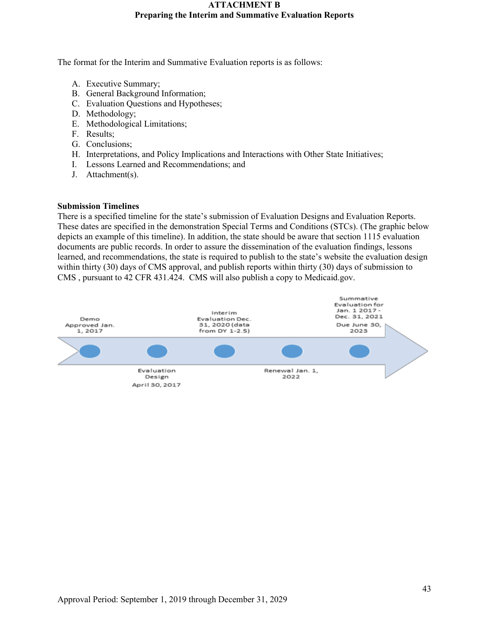The format for the Interim and Summative Evaluation reports is as follows:

- A. Executive Summary;
- B. General Background Information;
- C. Evaluation Questions and Hypotheses;
- D. Methodology;
- E. Methodological Limitations;
- F. Results;
- G. Conclusions;
- H. Interpretations, and Policy Implications and Interactions with Other State Initiatives;
- I. Lessons Learned and Recommendations; and
- J. Attachment(s).

#### **Submission Timelines**

There is a specified timeline for the state's submission of Evaluation Designs and Evaluation Reports. These dates are specified in the demonstration Special Terms and Conditions (STCs). (The graphic below depicts an example of this timeline). In addition, the state should be aware that section 1115 evaluation documents are public records. In order to assure the dissemination of the evaluation findings, lessons learned, and recommendations, the state is required to publish to the state's website the evaluation design within thirty (30) days of CMS approval, and publish reports within thirty (30) days of submission to CMS , pursuant to 42 CFR 431.424. CMS will also publish a copy to Medicaid.gov.

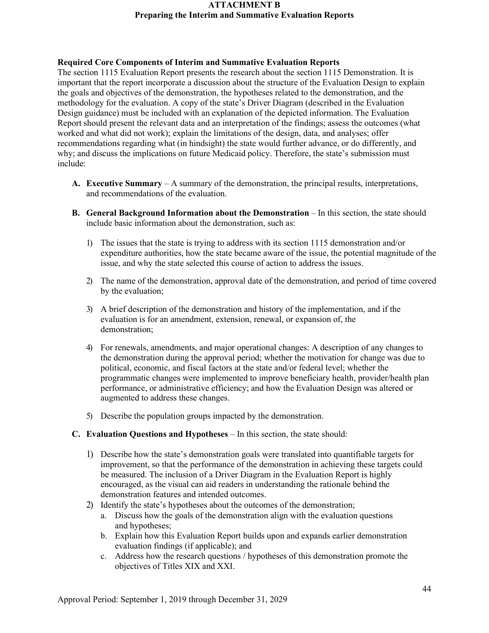### **Required Core Components of Interim and Summative Evaluation Reports**

The section 1115 Evaluation Report presents the research about the section 1115 Demonstration. It is important that the report incorporate a discussion about the structure of the Evaluation Design to explain the goals and objectives of the demonstration, the hypotheses related to the demonstration, and the methodology for the evaluation. A copy of the state's Driver Diagram (described in the Evaluation Design guidance) must be included with an explanation of the depicted information. The Evaluation Report should present the relevant data and an interpretation of the findings; assess the outcomes (what worked and what did not work); explain the limitations of the design, data, and analyses; offer recommendations regarding what (in hindsight) the state would further advance, or do differently, and why; and discuss the implications on future Medicaid policy. Therefore, the state's submission must include:

- **A. Executive Summary**  A summary of the demonstration, the principal results, interpretations, and recommendations of the evaluation.
- **B.** General Background Information about the Demonstration In this section, the state should include basic information about the demonstration, such as:
	- 1) The issues that the state is trying to address with its section 1115 demonstration and/or expenditure authorities, how the state became aware of the issue, the potential magnitude of the issue, and why the state selected this course of action to address the issues.
	- 2) The name of the demonstration, approval date of the demonstration, and period of time covered by the evaluation;
	- 3) A brief description of the demonstration and history of the implementation, and if the evaluation is for an amendment, extension, renewal, or expansion of, the demonstration;
	- 4) For renewals, amendments, and major operational changes: A description of any changes to the demonstration during the approval period; whether the motivation for change was due to political, economic, and fiscal factors at the state and/or federal level; whether the programmatic changes were implemented to improve beneficiary health, provider/health plan performance, or administrative efficiency; and how the Evaluation Design was altered or augmented to address these changes.
	- 5) Describe the population groups impacted by the demonstration.
- **C. Evaluation Questions and Hypotheses** In this section, the state should:
	- 1) Describe how the state's demonstration goals were translated into quantifiable targets for improvement, so that the performance of the demonstration in achieving these targets could be measured. The inclusion of a Driver Diagram in the Evaluation Report is highly encouraged, as the visual can aid readers in understanding the rationale behind the demonstration features and intended outcomes.
	- 2) Identify the state's hypotheses about the outcomes of the demonstration;
		- a. Discuss how the goals of the demonstration align with the evaluation questions and hypotheses;
		- b. Explain how this Evaluation Report builds upon and expands earlier demonstration evaluation findings (if applicable); and
		- c. Address how the research questions / hypotheses of this demonstration promote the objectives of Titles XIX and XXI.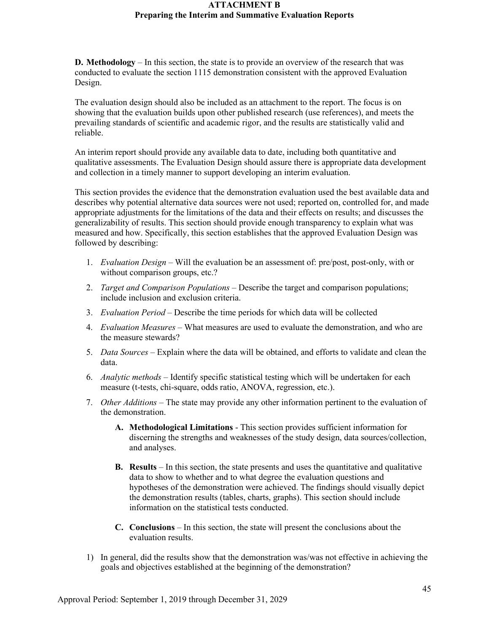**D. Methodology** – In this section, the state is to provide an overview of the research that was conducted to evaluate the section 1115 demonstration consistent with the approved Evaluation Design.

The evaluation design should also be included as an attachment to the report. The focus is on showing that the evaluation builds upon other published research (use references), and meets the prevailing standards of scientific and academic rigor, and the results are statistically valid and reliable.

An interim report should provide any available data to date, including both quantitative and qualitative assessments. The Evaluation Design should assure there is appropriate data development and collection in a timely manner to support developing an interim evaluation.

This section provides the evidence that the demonstration evaluation used the best available data and describes why potential alternative data sources were not used; reported on, controlled for, and made appropriate adjustments for the limitations of the data and their effects on results; and discusses the generalizability of results. This section should provide enough transparency to explain what was measured and how. Specifically, this section establishes that the approved Evaluation Design was followed by describing:

- 1. *Evaluation Design*  Will the evaluation be an assessment of: pre/post, post-only, with or without comparison groups, etc.?
- 2. *Target and Comparison Populations* Describe the target and comparison populations; include inclusion and exclusion criteria.
- 3. *Evaluation Period*  Describe the time periods for which data will be collected
- 4. *Evaluation Measures*  What measures are used to evaluate the demonstration, and who are the measure stewards?
- 5. *Data Sources* Explain where the data will be obtained, and efforts to validate and clean the data.
- 6. *Analytic methods* Identify specific statistical testing which will be undertaken for each measure (t-tests, chi-square, odds ratio, ANOVA, regression, etc.).
- 7. *Other Additions* The state may provide any other information pertinent to the evaluation of the demonstration.
	- **A. Methodological Limitations**  This section provides sufficient information for discerning the strengths and weaknesses of the study design, data sources/collection, and analyses.
	- **B. Results** In this section, the state presents and uses the quantitative and qualitative data to show to whether and to what degree the evaluation questions and hypotheses of the demonstration were achieved. The findings should visually depict the demonstration results (tables, charts, graphs). This section should include information on the statistical tests conducted.
	- **C. Conclusions** In this section, the state will present the conclusions about the evaluation results.
- 1) In general, did the results show that the demonstration was/was not effective in achieving the goals and objectives established at the beginning of the demonstration?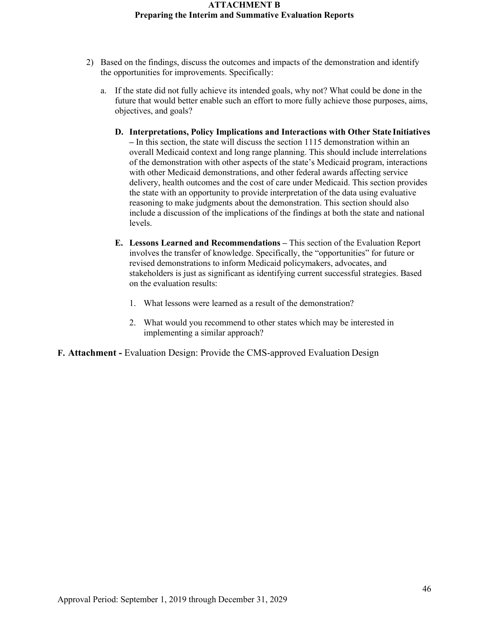- 2) Based on the findings, discuss the outcomes and impacts of the demonstration and identify the opportunities for improvements. Specifically:
	- a. If the state did not fully achieve its intended goals, why not? What could be done in the future that would better enable such an effort to more fully achieve those purposes, aims, objectives, and goals?
		- **D. Interpretations, Policy Implications and Interactions with Other State Initiatives –** In this section, the state will discuss the section 1115 demonstration within an overall Medicaid context and long range planning. This should include interrelations of the demonstration with other aspects of the state's Medicaid program, interactions with other Medicaid demonstrations, and other federal awards affecting service delivery, health outcomes and the cost of care under Medicaid. This section provides the state with an opportunity to provide interpretation of the data using evaluative reasoning to make judgments about the demonstration. This section should also include a discussion of the implications of the findings at both the state and national levels.
		- **E. Lessons Learned and Recommendations –** This section of the Evaluation Report involves the transfer of knowledge. Specifically, the "opportunities" for future or revised demonstrations to inform Medicaid policymakers, advocates, and stakeholders is just as significant as identifying current successful strategies. Based on the evaluation results:
			- 1. What lessons were learned as a result of the demonstration?
			- 2. What would you recommend to other states which may be interested in implementing a similar approach?
- **F. Attachment -** Evaluation Design: Provide the CMS-approved Evaluation Design